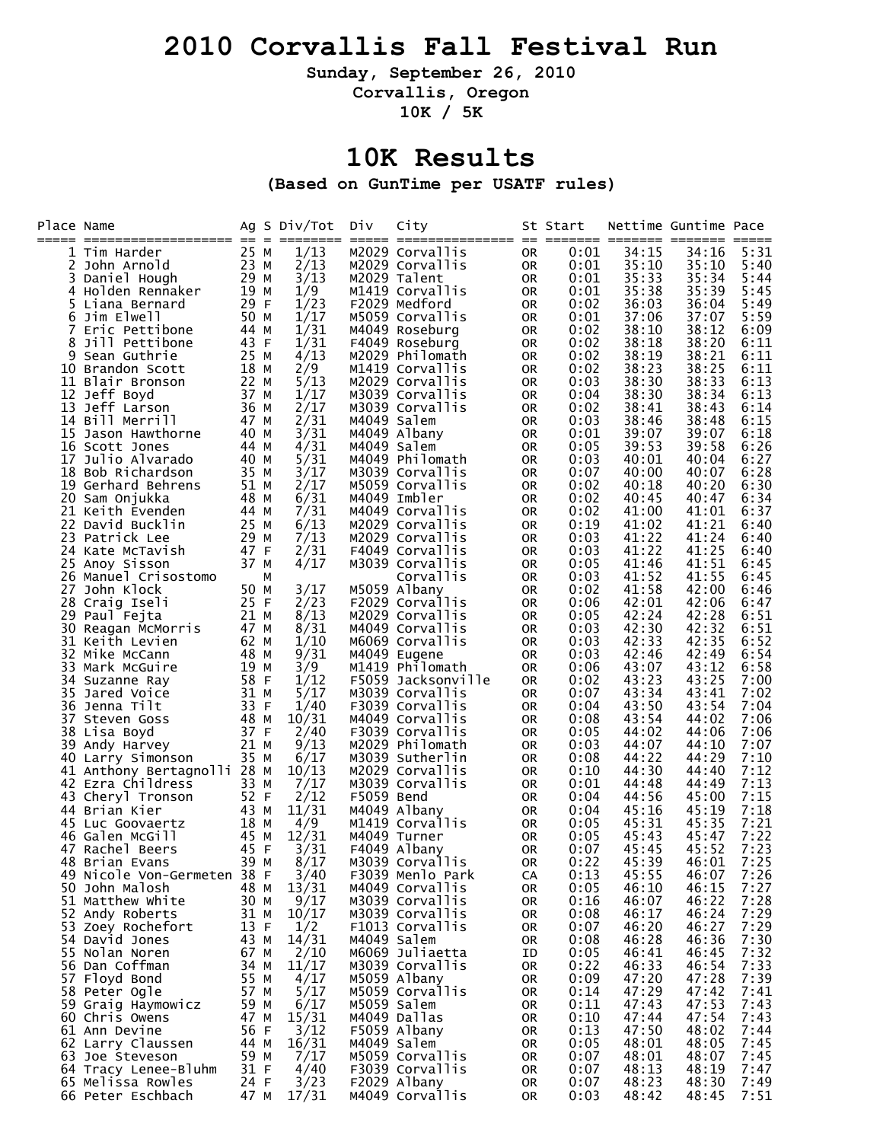#### **2010 Corvallis Fall Festival Run**

**Sunday, September 26, 2010** 

**Corvallis, Oregon** 

**10K / 5K** 

#### **10K Results**

**(Based on GunTime per USATF rules)** 

| Place Name |                                                |              | $=$ | Ag S Div/Tot | Div         | City                                |          | St Start     |                | Nettime Guntime Pace |              |
|------------|------------------------------------------------|--------------|-----|--------------|-------------|-------------------------------------|----------|--------------|----------------|----------------------|--------------|
|            | 1 Tim Harder                                   | 25 M         |     | 1/13         |             | M2029 Corvallis                     | 0R       | 0:01         | 34:15          | 34:16                | 5:31         |
|            | 2 John Arnold                                  | 23 M         |     | 2/13         |             | M2029 Corvallis                     | 0R       | 0:01         | 35:10          | 35:10                | 5:40         |
|            | 3 Daniel Hough                                 | 29 M         |     | 3/13         |             | M2029 Talent                        | 0R       | 0:01         | 35:33          | 35:34                | 5:44         |
|            | 4 Holden Rennaker                              | 19 M         |     | 1/9          |             | M1419 Corvallis                     | 0R       | 0:01         | 35:38          | 35:39                | 5:45         |
| 5          | Liana Bernard                                  | 29 F         |     | 1/23         |             | F2029 Medford                       | 0R       | 0:02         | 36:03          | 36:04                | 5:49         |
| 6          | Jim Elwell                                     | 50 M         |     | 1/17         |             | M5059 Corvallis                     | 0R       | 0:01         | 37:06          | 37:07                | 5:59         |
| 7          | Eric Pettibone                                 | 44           | M   | 1/31         |             | M4049 Roseburg                      | 0R       | 0:02         | 38:10          | 38:12                | 6:09         |
| 8          | Jill Pettibone                                 | 43 F         |     | 1/31         |             | F4049 Roseburg                      | 0R       | 0:02         | 38:18          | 38:20                | 6:11         |
| 9<br>10.   | Sean Guthrie<br>Brandon Scott                  | 25 M<br>18   | M   | 4/13<br>2/9  |             | M2029 Philomath<br>M1419 Corvallis  | 0R<br>0R | 0:02<br>0:02 | 38:19<br>38:23 | 38:21<br>38:25       | 6:11<br>6:11 |
|            | 11 Blair Bronson                               | 22 M         |     | 5/13         |             | M2029 Corvallis                     | 0R       | 0:03         | 38:30          | 38:33                | 6:13         |
|            | 12 Jeff Boyd                                   | 37           | M   | 1/17         |             | M3039 Corvallis                     | 0R       | 0:04         | 38:30          | 38:34                | 6:13         |
| 13         | Jeff Larson                                    | 36           | M   | 2/17         |             | M3039 Corvallis                     | 0R       | 0:02         | 38:41          | 38:43                | 6:14         |
|            | 14 Bill Merrill                                | 47 M         |     | 2/31         | M4049 Salem |                                     | 0R       | 0:03         | 38:46          | 38:48                | 6:15         |
|            | 15 Jason Hawthorne                             | 40 M         |     | 3/31         |             | M4049 Albany                        | 0R       | 0:01         | 39:07          | 39:07                | 6:18         |
|            | 16 Scott Jones                                 | 44           | M   | 4/31         | M4049 Salem |                                     | 0R       | 0:05         | 39:53          | 39:58                | 6:26         |
| 17         | Julio Alvarado                                 | 40 M         |     | 5/31         |             | M4049 Philomath                     | 0R       | 0:03         | 40:01          | 40:04                | 6:27         |
|            | 18 Bob Richardson                              | 35 M         |     | 3/17         |             | M3039 Corvallis                     | 0R       | 0:07         | 40:00          | 40:07                | 6:28         |
|            | 19 Gerhard Behrens<br>20 Sam Onjukka           | 51 M<br>48   | M   | 2/17<br>6/31 |             | M5059 Corvallis<br>M4049 Imbler     | 0R       | 0:02<br>0:02 | 40:18<br>40:45 | 40:20<br>40:47       | 6:30<br>6:34 |
|            | 21 Keith Evenden                               | 44           | M   | 7/31         |             | M4049 Corvallis                     | 0R<br>0R | 0:02         | 41:00          | 41:01                | 6:37         |
|            | 22 David Bucklin                               | 25           | M   | 6/13         |             | M2029 Corvallis                     | 0R       | 0:19         | 41:02          | 41:21                | 6:40         |
| 23         | Patrick Lee                                    | 29           | M   | 7/13         |             | M2029 Corvallis                     | 0R       | 0:03         | 41:22          | 41:24                | 6:40         |
|            | 24 Kate McTavish                               | 47 F         |     | 2/31         |             | F4049 Corvallis                     | 0R       | 0:03         | 41:22          | 41:25                | 6:40         |
| 25         | Anoy Sisson                                    | 37 M         |     | 4/17         |             | M3039 Corvallis                     | 0R       | 0:05         | 41:46          | 41:51                | 6:45         |
|            | 26 Manuel Crisostomo                           |              | М   |              |             | Corvallis                           | 0R       | 0:03         | 41:52          | 41:55                | 6:45         |
| 27         | John Klock                                     | 50 M         |     | 3/17         |             | M5059 Albany                        | 0R       | 0:02         | 41:58          | 42:00                | 6:46         |
|            | 28 Craig Iseli                                 | 25 F         |     | 2/23         |             | F2029 Corvallis                     | 0R       | 0:06         | 42:01          | 42:06                | 6:47         |
| 29         | Paul Fejta                                     | 21 M         |     | 8/13         |             | M2029 Corvallis                     | 0R       | 0:05         | 42:24          | 42:28                | 6:51         |
| 30         | Reagan McMorris<br>31 Keith Levien             | 47 M<br>62 M |     | 8/31<br>1/10 |             | M4049 Corvallis<br>M6069 Corvallis  | 0R<br>0R | 0:03<br>0:03 | 42:30<br>42:33 | 42:32<br>42:35       | 6:51<br>6:52 |
|            | 32 Mike McCann                                 | 48           | M   | 9/31         |             | M4049 Eugene                        | 0R       | 0:03         | 42:46          | 42:49                | 6:54         |
| 33         | Mark McGuire                                   | 19           | M   | 3/9          |             | M1419 Philomath                     | 0R       | 0:06         | 43:07          | 43:12                | 6:58         |
|            | 34 Suzanne Ray                                 | 58 F         |     | 1/12         |             | F5059 Jacksonville                  | 0R       | 0:02         | 43:23          | 43:25                | 7:00         |
| 35         | Jared Voice                                    | 31 M         |     | 5/17         |             | M3039 Corvallis                     | 0R       | 0:07         | 43:34          | 43:41                | 7:02         |
|            | 36 Jenna Tilt                                  | 33           | F   | 1/40         |             | F3039 Corvallis                     | 0R       | 0:04         | 43:50          | 43:54                | 7:04         |
| 37         | Steven Goss                                    | 48           | M   | 10/31        |             | M4049 Corvallis                     | 0R       | 0:08         | 43:54          | 44:02                | 7:06         |
|            | 38 Lisa Boyd                                   | 37 F         |     | 2/40         |             | F3039 Corvallis                     | 0R       | 0:05         | 44:02          | 44:06                | 7:06         |
|            | 39 Andy Harvey                                 | 21 M<br>35   | M   | 9/13<br>6/17 |             | M2029 Philomath<br>M3039 Sutherlin  | 0R<br>0R | 0:03<br>0:08 | 44:07<br>44:22 | 44:10<br>44:29       | 7:07<br>7:10 |
|            | 40 Larry Simonson<br>41 Anthony Bertagnolli 28 |              | M   | 10/13        |             | M2029 Corvallis                     | 0R       | 0:10         | 44:30          | 44:40                | 7:12         |
|            | 42 Ezra Childress                              | 33           | M   | 7/17         |             | M3039 Corvallis                     | 0R       | 0:01         | 44:48          | 44:49                | 7:13         |
|            | 43 Cheryl Tronson                              | 52 F         |     | 2/12         | F5059 Bend  |                                     | 0R       | 0:04         | 44:56          | 45:00                | 7:15         |
|            | 44 Brian Kier                                  | 43 M         |     | 11/31        |             | M4049 Albany                        | 0R       | 0:04         | 45:16          | 45:19                | 7:18         |
|            | 45 Luc Goovaertz                               | 18           | M   | 4/9          |             | M1419 Corvallis                     | 0R       | 0:05         | 45:31          | 45:35                | 7:21         |
|            | 46 Galen McGill                                | 45 M         |     | 12/31        |             | M4049 Turner                        | 0R       | 0:05         | 45:43          | 45:47                | 7:22         |
| 47         | Rachel Beers                                   | 45 F         |     | 3/31         |             | F4049 Albany                        | 0R       | 0:07         | 45:45          | 45:52                | 7:23         |
|            | 48 Brian Evans<br>49 Nicole Von-Germeten 38 F  | 39           | M   | 8/17<br>3/40 |             | M3039 Corvallis<br>F3039 Menlo Park | 0R       | 0:22<br>0:13 | 45:39<br>45:55 | 46:01 7:25<br>46:07  | 7:26         |
|            | 50 John Malosh                                 | 48 M         |     | 13/31        |             | M4049 Corvallis                     | CA<br>0R | 0:05         | 46:10          | 46:15                | 7:27         |
|            | 51 Matthew White                               | 30 M         |     | 9/17         |             | M3039 Corvallis                     | 0R       | 0:16         | 46:07          | 46:22                | 7:28         |
|            | 52 Andy Roberts                                | 31 M         |     | 10/17        |             | M3039 Corvallis                     | 0R       | 0:08         | 46:17          | 46:24                | 7:29         |
|            | 53 Zoey Rochefort                              | 13 F         |     | 1/2          |             | F1013 Corvallis                     | 0R       | 0:07         | 46:20          | 46:27                | 7:29         |
|            | 54 David Jones                                 | 43 M         |     | 14/31        | M4049 Salem |                                     | 0R       | 0:08         | 46:28          | 46:36                | 7:30         |
|            | 55 Nolan Noren                                 | 67 M         |     | 2/10         |             | M6069 Juliaetta                     | ID       | 0:05         | 46:41          | 46:45                | 7:32         |
|            | 56 Dan Coffman                                 | 34 M         |     | 11/17        |             | M3039 Corvallis                     | 0R       | 0:22         | 46:33          | 46:54                | 7:33         |
|            | 57 Floyd Bond                                  | 55 M         |     | 4/17         |             | M5059 Albany                        | 0R       | 0:09         | 47:20          | 47:28                | 7:39         |
|            | 58 Peter Ogle                                  | 57 M<br>59 M |     | 5/17<br>6/17 | M5059 Salem | M5059 Corvallis                     | 0R       | 0:14<br>0:11 | 47:29<br>47:43 | 47:42<br>47:53       | 7:41<br>7:43 |
|            | 59 Graig Haymowicz<br>60 Chris Owens           | 47 M         |     | 15/31        |             | M4049 Dallas                        | 0R<br>0R | 0:10         | 47:44          | 47:54                | 7:43         |
|            | 61 Ann Devine                                  | 56 F         |     | 3/12         |             | F5059 Albany                        | 0R       | 0:13         | 47:50          | 48:02                | 7:44         |
|            | 62 Larry Claussen                              | 44 M         |     | 16/31        | M4049 Salem |                                     | 0R       | 0:05         | 48:01          | 48:05                | 7:45         |
|            | 63 Joe Steveson                                | 59 M         |     | 7/17         |             | M5059 Corvallis                     | 0R       | 0:07         | 48:01          | 48:07                | 7:45         |
|            | 64 Tracy Lenee-Bluhm                           | 31 F         |     | 4/40         |             | F3039 Corvallis                     | 0R       | 0:07         | 48:13          | 48:19                | 7:47         |
|            | 65 Melissa Rowles                              | 24 F         |     | 3/23         |             | F2029 Albany                        | 0R       | 0:07         | 48:23          | 48:30                | 7:49         |
|            | 66 Peter Eschbach                              | 47 M         |     | 17/31        |             | M4049 Corvallis                     | 0R       | 0:03         | 48:42          | 48:45                | 7:51         |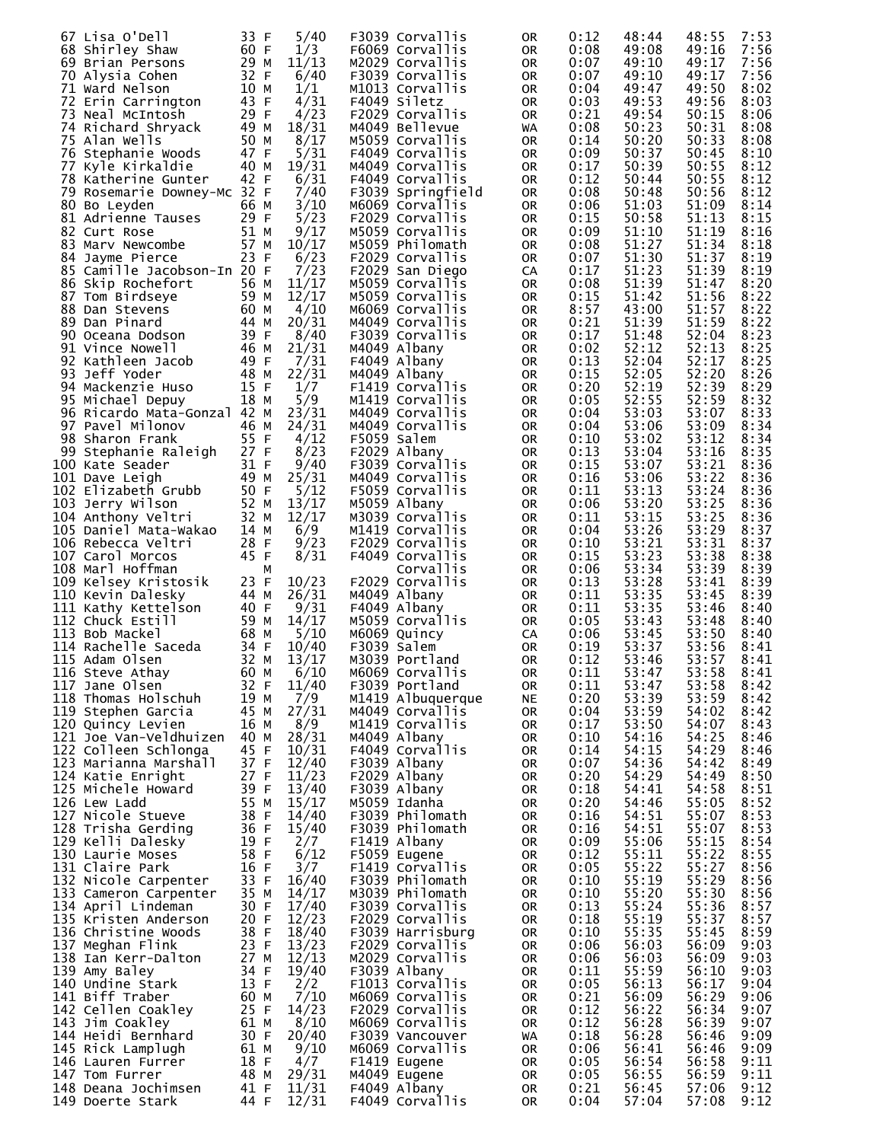| 67 Lisa O'Dell                       | 33 F         | 5/40  | F3039 Corvallis   | 0R        | 0:12 | 48:44 | 48:55 | 7:53 |
|--------------------------------------|--------------|-------|-------------------|-----------|------|-------|-------|------|
| 68 Shirley Shaw                      | 60 F         | 1/3   | F6069 Corvallis   | 0R        | 0:08 | 49:08 | 49:16 | 7:56 |
| 69 Brian Persons                     | 29 M         | 11/13 | M2029 Corvallis   | 0R        | 0:07 | 49:10 | 49:17 | 7:56 |
| 70 Alysia Cohen                      | 32 F         | 6/40  | F3039 Corvallis   |           | 0:07 | 49:10 | 49:17 | 7:56 |
|                                      |              |       |                   | 0R        |      |       |       |      |
| 71 Ward Nelson                       | 10 M         | 1/1   | M1013 Corvallis   | 0R        | 0:04 | 49:47 | 49:50 | 8:02 |
| 72 Erin Carrington                   | 43 F         | 4/31  | F4049 Siletz      | 0R        | 0:03 | 49:53 | 49:56 | 8:03 |
| 73 Neal McIntosh                     | 29 F         | 4/23  | F2029 Corvallis   | 0R        | 0:21 | 49:54 | 50:15 | 8:06 |
| 74 Richard Shryack                   | 49 M         | 18/31 | M4049 Bellevue    | WA        | 0:08 | 50:23 | 50:31 | 8:08 |
| 75 Alan Wells                        | 50 M         | 8/17  | M5059 Corvallis   | 0R        | 0:14 | 50:20 | 50:33 | 8:08 |
| 76 Stephanie Woods                   | 47 F         | 5/31  | F4049 Corvallis   | 0R        | 0:09 | 50:37 | 50:45 | 8:10 |
| 77 Kyle Kirkaldie                    | 40 M         | 19/31 | M4049 Corvallis   | 0R        | 0:17 | 50:39 | 50:55 | 8:12 |
| 78 Katherine Gunter                  | 42 F         | 6/31  | F4049 Corvallis   | 0R        | 0:12 | 50:44 | 50:55 | 8:12 |
| 79 Rosemarie Downey-Mc 32 F          |              | 7/40  | F3039 Springfield | 0R        | 0:08 | 50:48 | 50:56 | 8:12 |
| 80 Bo Leyden                         | 66 M         | 3/10  | M6069 Corvallis   | 0R        | 0:06 | 51:03 | 51:09 | 8:14 |
| 81 Adrienne Tauses                   | 29 F         | 5/23  | F2029 Corvallis   | 0R        | 0:15 | 50:58 | 51:13 | 8:15 |
| 82 Curt Rose                         | 51 M         | 9/17  | M5059 Corvallis   | 0R        | 0:09 | 51:10 | 51:19 | 8:16 |
| 83 Marv Newcombe                     | 57 M         | 10/17 | M5059 Philomath   | 0R        | 0:08 | 51:27 | 51:34 | 8:18 |
| 84 Jayme Pierce                      | 23 F         | 6/23  | F2029 Corvallis   | 0R        | 0:07 | 51:30 | 51:37 | 8:19 |
| 85 Camille Jacobson-In 20 F          |              | 7/23  | F2029 San Diego   | CA        | 0:17 | 51:23 | 51:39 | 8:19 |
| 86 Skip Rochefort                    | 56 M         | 11/17 | M5059 Corvallis   | 0R        | 0:08 | 51:39 | 51:47 | 8:20 |
| 87 Tom Birdseye                      | 59 M         | 12/17 | M5059 Corvallis   | 0R        | 0:15 | 51:42 | 51:56 | 8:22 |
| 88 Dan Stevens                       | 60 M         | 4/10  | M6069 Corvallis   | 0R        | 8:57 | 43:00 | 51:57 | 8:22 |
| 89 Dan Pinard                        | 44 M         | 20/31 | M4049 Corvallis   | 0R        | 0:21 | 51:39 | 51:59 | 8:22 |
|                                      | 39 F         | 8/40  | F3039 Corvallis   |           | 0:17 | 51:48 | 52:04 | 8:23 |
| 90 Oceana Dodson                     |              |       |                   | 0R        |      |       |       |      |
| 91 Vince Nowell<br>92 Kathleen Jacob | 46 M         | 21/31 | M4049 Albany      | 0R        | 0:02 | 52:12 | 52:13 | 8:25 |
|                                      | 49 F         | 7/31  | F4049 Albany      | 0R        | 0:13 | 52:04 | 52:17 | 8:25 |
| 93 Jeff Yoder                        | 48 M         | 22/31 | M4049 Albany      | 0R        | 0:15 | 52:05 | 52:20 | 8:26 |
| 94 Mackenzie Huso                    | 15 F         | 1/7   | F1419 Corvallis   | 0R        | 0:20 | 52:19 | 52:39 | 8:29 |
| 95 Michael Depuy                     | 18 M         | 5/9   | M1419 Corvallis   | 0R        | 0:05 | 52:55 | 52:59 | 8:32 |
| 96 Ricardo Mata-Gonzal 42 M          |              | 23/31 | M4049 Corvallis   | 0R        | 0:04 | 53:03 | 53:07 | 8:33 |
| 97 Pavel Milonov                     | 46 M         | 24/31 | M4049 Corvallis   | 0R        | 0:04 | 53:06 | 53:09 | 8:34 |
| 98 Sharon Frank                      | 55 F         | 4/12  | F5059 Salem       | 0R        | 0:10 | 53:02 | 53:12 | 8:34 |
| 99 Stephanie Raleigh                 | 27 F         | 8/23  | F2029 Albany      | 0R        | 0:13 | 53:04 | 53:16 | 8:35 |
| 100 Kate Seader                      | 31 F         | 9/40  | F3039 Corvallis   | 0R        | 0:15 | 53:07 | 53:21 | 8:36 |
| 101 Dave Leigh                       | 49 M         | 25/31 | M4049 Corvallis   | 0R        | 0:16 | 53:06 | 53:22 | 8:36 |
| 102 Elizabeth Grubb                  | 50 F         | 5/12  | F5059 Corvallis   | 0R        | 0:11 | 53:13 | 53:24 | 8:36 |
| 103 Jerry Wilson                     | 52 M         | 13/17 | M5059 Albany      | 0R        | 0:06 | 53:20 | 53:25 | 8:36 |
| 104 Anthony Veltri                   | 32 M         | 12/17 | M3039 Corvallis   | 0R        | 0:11 | 53:15 | 53:25 | 8:36 |
| 105 Daniel Mata-Wakao                | 14 M         | 6/9   | M1419 Corvallis   | 0R        | 0:04 | 53:26 | 53:29 | 8:37 |
| 106 Rebecca Veltri                   | 28 F         | 9/23  | F2029 Corvallis   | 0R        | 0:10 | 53:21 | 53:31 | 8:37 |
| 107 Carol Morcos                     | 45 F         | 8/31  | F4049 Corvallis   | 0R        | 0:15 | 53:23 | 53:38 | 8:38 |
| 108 Marl Hoffman                     | M            |       | Corvallis         | 0R        | 0:06 | 53:34 | 53:39 | 8:39 |
| 109 Kelsey Kristosik                 | 23 F         | 10/23 | F2029 Corvallis   | 0R        | 0:13 | 53:28 | 53:41 | 8:39 |
| 110 Kevin Dalesky                    | 44 M         | 26/31 | M4049 Albany      | 0R        | 0:11 | 53:35 | 53:45 | 8:39 |
| 111 Kathy Kettelson                  | 40 F         | 9/31  | F4049 Albany      | 0R        | 0:11 | 53:35 | 53:46 | 8:40 |
| 112 Chuck Estill                     | 59 M         | 14/17 | M5059 Corvallis   | 0R        | 0:05 | 53:43 | 53:48 | 8:40 |
| 113 Bob Mackel                       | 68 M         | 5/10  | M6069 Quincy      | CA        | 0:06 | 53:45 | 53:50 | 8:40 |
| 114 Rachelle Saceda                  | 34 F         | 10/40 | F3039 Salem       | <b>OR</b> | 0:19 | 53:37 | 53:56 | 8:41 |
| 115 Adam Olsen                       | 32 M         | 13/17 | M3039 Portland    | <b>OR</b> | 0:12 | 53:46 | 53:57 | 8:41 |
| 116 Steve Athay 60 M 6/10            |              |       | M6069 Corvallis   | OR        | 0:11 | 53:47 | 53:58 | 8:41 |
| 117 Jane Olsen                       | 32 F         | 11/40 | F3039 Portland    | 0R        | 0:11 | 53:47 | 53:58 | 8:42 |
| 118 Thomas Holschuh                  | 19 M         | 7/9   | M1419 Albuquerque | NE.       | 0:20 | 53:39 | 53:59 | 8:42 |
| 119 Stephen Garcia                   | 45 M         | 27/31 | M4049 Corvallis   | 0R        | 0:04 | 53:59 | 54:02 | 8:42 |
| 120 Quincy Levien                    | 16 M         | 8/9   | M1419 Corvallis   | 0R        | 0:17 | 53:50 | 54:07 | 8:43 |
| 121 Joe Van-Veldhuizen               | 40 M         | 28/31 | M4049 Albany      | 0R        | 0:10 | 54:16 | 54:25 | 8:46 |
| 122 Colleen Schlonga                 | 45 F         | 10/31 | F4049 Corvallis   | 0R        | 0:14 | 54:15 | 54:29 | 8:46 |
| 123 Marianna Marshall                | 37 F         | 12/40 | F3039 Albany      | 0R        | 0:07 | 54:36 | 54:42 | 8:49 |
| 124 Katie Enright                    | 27 F         | 11/23 | F2029 Albany      | 0R        | 0:20 | 54:29 | 54:49 | 8:50 |
| 125 Michele Howard                   | 39 F         | 13/40 | F3039 Albany      | 0R        | 0:18 | 54:41 | 54:58 | 8:51 |
| 126 Lew Ladd                         | 55 M         | 15/17 | M5059 Idanha      | 0R        | 0:20 | 54:46 | 55:05 | 8:52 |
| 127 Nicole Stueve                    | 38 F         | 14/40 | F3039 Philomath   | 0R        | 0:16 | 54:51 | 55:07 | 8:53 |
| 128 Trisha Gerding                   | 36 F         | 15/40 | F3039 Philomath   | 0R        | 0:16 | 54:51 | 55:07 | 8:53 |
| 129 Kelli Dalesky                    | 19 F         |       | F1419 Albany      |           |      |       |       |      |
|                                      |              | 2/7   |                   | 0R        | 0:09 | 55:06 | 55:15 | 8:54 |
| 130 Laurie Moses                     | 58 F         | 6/12  | F5059 Eugene      | 0R        | 0:12 | 55:11 | 55:22 | 8:55 |
| 131 Claire Park                      | 16 F<br>33 F | 3/7   | F1419 Corvallis   | 0R        | 0:05 | 55:22 | 55:27 | 8:56 |
| 132 Nicole Carpenter                 |              | 16/40 | F3039 Philomath   | 0R        | 0:10 | 55:19 | 55:29 | 8:56 |
| 133 Cameron Carpenter                | 35 M         | 14/17 | M3039 Philomath   | 0R        | 0:10 | 55:20 | 55:30 | 8:56 |
| 134 April Lindeman                   | 30 F         | 17/40 | F3039 Corvallis   | 0R        | 0:13 | 55:24 | 55:36 | 8:57 |
| 135 Kristen Anderson                 | 20 F         | 12/23 | F2029 Corvallis   | 0R        | 0:18 | 55:19 | 55:37 | 8:57 |
| 136 Christine Woods                  | 38 F         | 18/40 | F3039 Harrisburg  | 0R        | 0:10 | 55:35 | 55:45 | 8:59 |
| 137 Meghan Flink                     | 23 F         | 13/23 | F2029 Corvallis   | 0R        | 0:06 | 56:03 | 56:09 | 9:03 |
| 138 Ian Kerr-Dalton                  | 27 M         | 12/13 | M2029 Corvallis   | 0R        | 0:06 | 56:03 | 56:09 | 9:03 |
| 139 Amy Baley                        | 34 F         | 19/40 | F3039 Albany      | 0R        | 0:11 | 55:59 | 56:10 | 9:03 |
| 140 Undine Stark                     | 13 F         | 2/2   | F1013 Corvallis   | 0R        | 0:05 | 56:13 | 56:17 | 9:04 |
| 141 Biff Traber                      | 60 M         | 7/10  | M6069 Corvallis   | 0R        | 0:21 | 56:09 | 56:29 | 9:06 |
| 142 Cellen Coakley                   | 25 F         | 14/23 | F2029 Corvallis   | 0R        | 0:12 | 56:22 | 56:34 | 9:07 |
| 143 Jim Coakley                      | 61 M         | 8/10  | M6069 Corvallis   | 0R        | 0:12 | 56:28 | 56:39 | 9:07 |
| 144 Heidi Bernhard                   | 30 F         | 20/40 | F3039 Vancouver   | WA        | 0:18 | 56:28 | 56:46 | 9:09 |
| 145 Rick Lamplugh                    | 61 M         | 9/10  | M6069 Corvallis   | 0R        | 0:06 | 56:41 | 56:46 | 9:09 |
| 146 Lauren Furrer                    | 18 F         | 4/7   | F1419 Eugene      | 0R        | 0:05 | 56:54 | 56:58 | 9:11 |
| 147 Tom Furrer                       | 48 M         | 29/31 | M4049 Eugene      | 0R        | 0:05 | 56:55 | 56:59 | 9:11 |
| 148 Deana Jochimsen                  | 41 F         | 11/31 | F4049 Albany      | 0R        | 0:21 | 56:45 | 57:06 | 9:12 |
| 149 Doerte Stark                     | 44 F         | 12/31 | F4049 Corvallis   | 0R        | 0:04 | 57:04 | 57:08 | 9:12 |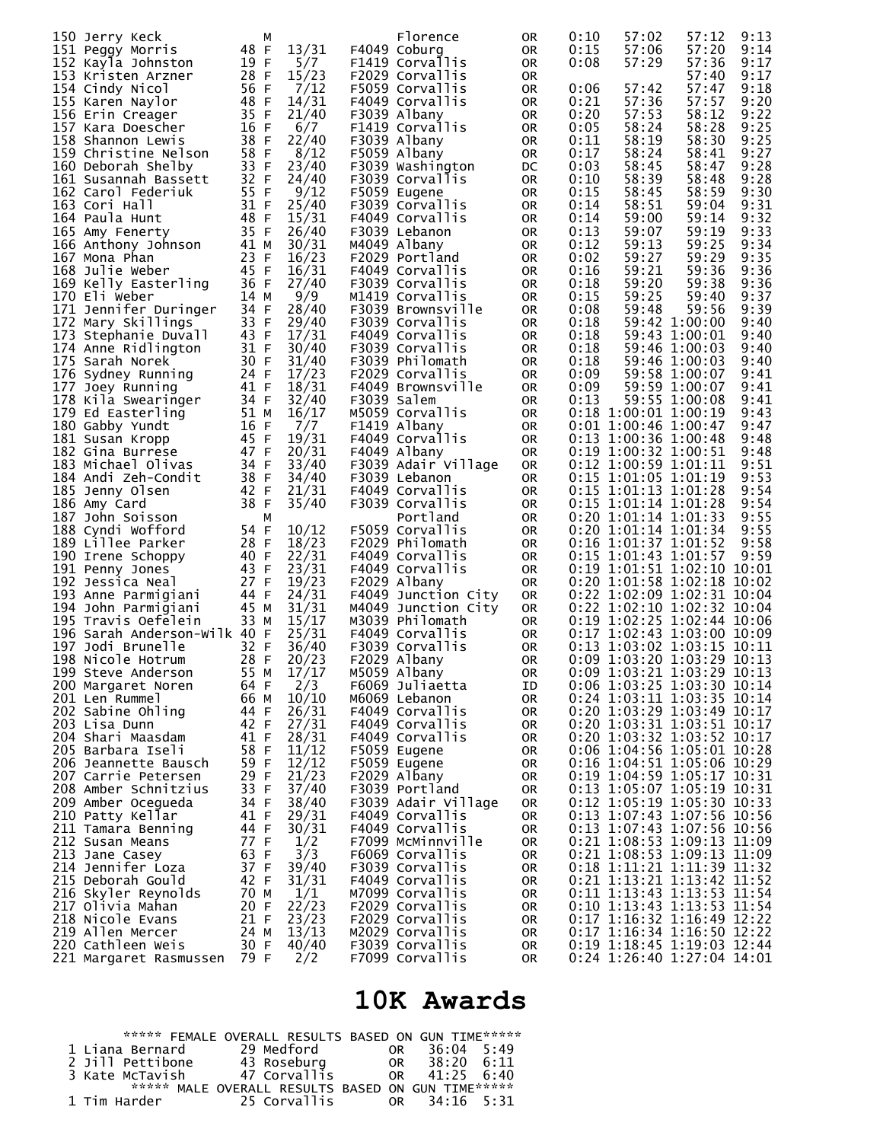| 150 Jerry Keck                                                             | м            |                | Florence                           | 0R              | 0:10         | 57:02                                                    | 57:12          | 9:13         |
|----------------------------------------------------------------------------|--------------|----------------|------------------------------------|-----------------|--------------|----------------------------------------------------------|----------------|--------------|
| 151 Peggy Morris                                                           | 48 F         | 13/31          | F4049 Coburg                       | 0R              | 0:15         | 57:06                                                    | 57:20          | 9:14         |
| 152 Kayla Johnston                                                         | 19 F         | 5/7            | F1419 Corvallis                    | 0R              | 0:08         | 57:29                                                    | 57:36          | 9:17         |
| 153 Kristen Arzner                                                         | 28 F         | 15/23          | F2029 Corvallis                    | 0R              |              |                                                          | 57:40          | 9:17         |
| 154 Cindy Nicol                                                            | 56 F         | 7/12           | F5059 Corvallis                    | 0R              | 0:06         | 57:42                                                    | 57:47          | 9:18         |
| 155 Karen Naylor                                                           | 48 F         | 14/31          | F4049 Corvallis                    | 0R              | 0:21         | 57:36                                                    | 57:57          | 9:20         |
| 156 Erin Creager                                                           | 35 F         | 21/40          | F3039 Albany                       | 0R              | 0:20         | 57:53                                                    | 58:12          | 9:22         |
| 157 Kara Doescher                                                          | 16 F         | 6/7            | F1419 Corvallis                    | 0R              | 0:05         | 58:24                                                    | 58:28          | 9:25         |
| 158 Shannon Lewis                                                          | 38 F         | 22/40          | F3039 Albany                       | 0R              | 0:11         | 58:19                                                    | 58:30          | 9:25         |
| 159 Christine Nelson                                                       | 58 F         | 8/12           | F5059 Albany                       | 0R              | 0:17         | 58:24                                                    | 58:41          | 9:27         |
| 160 Deborah Shelby                                                         | 33 F         | 23/40          | F3039 Washington                   | DC              | 0:03         | 58:45                                                    | 58:47          | 9:28         |
| 161 Susannah Bassett                                                       | 32 F<br>55 F | 24/40          | F3039 Corvallis                    | 0R              | 0:10         | 58:39                                                    | 58:48          | 9:28         |
| 162 Carol Federiuk                                                         |              | 9/12           | F5059 Eugene                       | 0R              | 0:15         | 58:45<br>58:51                                           | 58:59          | 9:30         |
| 163 Cori Hall<br>164 Paula Hunt                                            | 31 F<br>48 F | 25/40<br>15/31 | F3039 Corvallis<br>F4049 Corvallis | 0R<br>0R        | 0:14<br>0:14 | 59:00                                                    | 59:04<br>59:14 | 9:31<br>9:32 |
| 165 Amy Fenerty                                                            | 35 F         | 26/40          | F3039 Lebanon                      | 0R              | 0:13         | 59:07                                                    | 59:19          | 9:33         |
|                                                                            | 41 M         | 30/31          | M4049 Albany                       | 0R              | 0:12         | 59:13                                                    | 59:25          | 9:34         |
| 165 Amy Fenerty<br>166 Anthony Johnson<br>167 Mona Phan<br>168 Julie Weber | 23 F         | 16/23          | F2029 Portland                     | 0R              | 0:02         | 59:27                                                    | 59:29          | 9:35         |
| 168 Julie Weber                                                            | 45 F         | 16/31          | F4049 Corvallis                    | 0R              | 0:16         | 59:21                                                    | 59:36          | 9:36         |
| 169 Kelly Easterling                                                       | 36 F         | 27/40          | F3039 Corvallis                    | 0R              | 0:18         | 59:20                                                    | 59:38          | 9:36         |
| 170 Eli weber                                                              | 14 M         | 9/9            | M1419 Corvallis                    | 0R              | 0:15         | 59:25                                                    | 59:40          | 9:37         |
| 171 Jennifer Duringer                                                      | 34 F         | 28/40          | F3039 Brownsville                  | 0R              | 0:08         | 59:48                                                    | 59:56          | 9:39         |
| 172 Mary Skillings                                                         | 33 F         | 29/40          | F3039 Corvallis                    | 0R              | 0:18         |                                                          | 59:42 1:00:00  | 9:40         |
| 173 Stephanie Duvall                                                       | 43 F         | 17/31          | F4049 Corvallis                    | 0R              | 0:18         |                                                          | 59:43 1:00:01  | 9:40         |
| 174 Anne Ridlington                                                        | 31 F         | 30/40          | F3039 Corvallis                    | 0R              | 0:18         |                                                          | 59:46 1:00:03  | 9:40         |
| 175 Sarah Norek                                                            | 30 F         | 31/40          | F3039 Philomath                    | 0R              | 0:18         |                                                          | 59:46 1:00:03  | 9:40         |
| 176 Sydney Running                                                         | 24 F         | 17/23          | F2029 Corvallis                    | <b>OR</b>       | 0:09         |                                                          | 59:58 1:00:07  | 9:41         |
| 177 Joey Running                                                           | 41 F         | 18/31          | F4049 Brownsville                  | 0R              | 0:09         |                                                          | 59:59 1:00:07  | 9:41         |
| 177 Joey Running<br>178 Kila Swearinger<br>179 Ed Easterling               | 34 F         | 32/40          | F3039 Salem                        | 0R              | 0:13         |                                                          | 59:55 1:00:08  | 9:41         |
|                                                                            | 51 M         | 16/17          | M5059 Corvallis                    | <b>OR</b>       |              | $0:18$ 1:00:01 1:00:19                                   |                | 9:43         |
| 180 Gabby Yundt                                                            | 16 F         | 7/7            | F1419 Albany                       | <b>OR</b>       |              | $0:01$ 1:00:46 1:00:47                                   |                | 9:47         |
| 181 Susan Kropp                                                            | 45 F         | 19/31          | F4049 Corvallis                    | <b>OR</b>       |              | $0:13$ 1:00:36 1:00:48                                   |                | 9:48         |
| 182 Gina Burrese                                                           | 47 F         | 20/31          | F4049 Albany                       | <b>OR</b>       |              | $0:19$ 1:00:32 1:00:51                                   |                | 9:48         |
| 183 Michael Olivas                                                         | 34 F         | 33/40          | F3039 Adair Village                | <b>OR</b>       |              | $0:12$ 1:00:59 1:01:11                                   |                | 9:51         |
| 184 Andi Zeh-Condit                                                        | 38 F         | 34/40          | F3039 Lebanon                      | <b>OR</b>       |              | $0:15$ 1:01:05 1:01:19                                   |                | 9:53         |
| 185 Jenny Olsen                                                            | 42 F         | 21/31          | F4049 Corvallis                    | <b>OR</b>       |              | $0:15$ 1:01:13 1:01:28                                   |                | 9:54         |
| 186 Amy Card                                                               | 38 F         | 35/40          | F3039 Corvallis                    | 0R              |              | $0:15$ 1:01:14 1:01:28                                   |                | 9:54         |
| 187 John Soisson                                                           | М            |                | Portland                           | 0R              |              | $0:20$ 1:01:14 1:01:33                                   |                | 9:55         |
| 188 Cyndi Wofford                                                          | 54 F         | 10/12          | F5059 Corvallis                    | <b>OR</b>       |              | $0:20$ 1:01:14 1:01:34                                   |                | 9:55         |
| 189 Lillee Parker                                                          | 28 F<br>40 F | 18/23<br>22/31 | F2029 Philomath<br>F4049 Corvallis | <b>OR</b>       |              | $0:16$ 1:01:37 1:01:52<br>$0:15$ 1:01:43 1:01:57         |                | 9:58<br>9:59 |
| 190 Irene Schoppy                                                          | 43 F         | 23/31          | F4049 Corvallis                    | 0R<br><b>OR</b> |              | 0:19 1:01:51 1:02:10 10:01                               |                |              |
| 191 Penny Jones<br>192 Jessica Neal                                        | 27 F         | 19/23          | F2029 Albany                       | 0R              |              | $0:20$ 1:01:58 1:02:18 10:02                             |                |              |
| 193 Anne Parmigiani                                                        | 44 F         | 24/31          | F4049 Junction City                | 0R              |              | 0:22 1:02:09 1:02:31 10:04                               |                |              |
| 194 John Parmigiani                                                        | 45 M         | 31/31          | M4049 Junction City                | 0R              |              | 0:22 1:02:10 1:02:32 10:04                               |                |              |
| 195 Travis Oefelein                                                        | 33 M         | 15/17          | M3039 Philomath                    | 0R              |              | 0:19 1:02:25 1:02:44 10:06                               |                |              |
| 196 Sarah Anderson-Wilk 40 F                                               |              | 25/31          | F4049 Corvallis                    | <b>OR</b>       |              | $0:17$ 1:02:43 1:03:00 10:09                             |                |              |
| 197 Jodi Brunelle                                                          | 32 F         | 36/40          | F3039 Corvallis                    | <b>OR</b>       |              | $0:13$ 1:03:02 1:03:15 10:11                             |                |              |
| 198 Nicole Hotrum                                                          | 28 F         | 20/23          | F2029 Albany                       | <b>OR</b>       |              | $0:09$ 1:03:20 1:03:29 10:13                             |                |              |
| 199 Steve Anderson 55 M 17/17                                              |              |                | M5059 Albany                       | 0R              |              | 0:09 1:03:21 1:03:29 10:13                               |                |              |
| 200 Margaret Noren                                                         | 64 F         | 2/3            | F6069 Juliaetta                    | ID              |              | 0:06 1:03:25 1:03:30 10:14                               |                |              |
| 201 Len Rummel                                                             | 66 M         | 10/10          | M6069 Lebanon                      | 0R              |              | 0:24 1:03:11 1:03:35 10:14                               |                |              |
| 202 Sabine Ohling                                                          | 44 F         | 26/31          | F4049 Corvallis                    | 0R              |              | 0:20 1:03:29 1:03:49 10:17                               |                |              |
| 203 Lisa Dunn                                                              | 42 F         | 27/31          | F4049 Corvallis                    | 0R              |              | 0:20 1:03:31 1:03:51 10:17                               |                |              |
| 204 Shari Maasdam                                                          | 41 F         | 28/31          | F4049 Corvallis                    | 0R              |              | 0:20 1:03:32 1:03:52 10:17                               |                |              |
| 205 Barbara Iseli                                                          | 58 F         | 11/12          | F5059 Eugene                       | 0R              |              | 0:06 1:04:56 1:05:01 10:28                               |                |              |
| 206 Jeannette Bausch                                                       | 59 F         | 12/12          | F5059 Eugene                       | 0R              |              | 0:16 1:04:51 1:05:06 10:29                               |                |              |
| 207 Carrie Petersen                                                        | 29 F         | 21/23          | F2029 Albany                       | 0R              |              | 0:19 1:04:59 1:05:17 10:31                               |                |              |
| 208 Amber Schnitzius                                                       | 33 F         | 37/40          | F3039 Portland                     | 0R              |              | 0:13 1:05:07 1:05:19 10:31                               |                |              |
| 209 Amber Ocegueda                                                         | 34 F         | 38/40          | F3039 Adair Village                | 0R              |              | 0:12 1:05:19 1:05:30 10:33                               |                |              |
| 210 Patty Kellar<br>211 Tamara Benning                                     | 41 F<br>44 F | 29/31          | F4049 Corvallis<br>F4049 Corvallis | 0R              |              | 0:13 1:07:43 1:07:56 10:56<br>0:13 1:07:43 1:07:56 10:56 |                |              |
| 212 Susan Means                                                            | 77 F         | 30/31<br>1/2   | F7099 McMinnville                  | 0R              |              | 0:21 1:08:53 1:09:13 11:09                               |                |              |
| 213 Jane Casey                                                             | 63 F         | 3/3            | F6069 Corvallis                    | 0R<br>0R        |              | 0:21 1:08:53 1:09:13 11:09                               |                |              |
| 214 Jennifer Loza                                                          | 37 F         | 39/40          | F3039 Corvallis                    | 0R              |              | 0:18 1:11:21 1:11:39 11:32                               |                |              |
| 215 Deborah Gould                                                          | 42 F         | 31/31          | F4049 Corvallis                    | 0R              |              | 0:21 1:13:21 1:13:42 11:52                               |                |              |
| 216 Skyler Reynolds                                                        | 70 M         | 1/1            | M7099 Corvallis                    | 0R              |              | 0:11 1:13:43 1:13:53 11:54                               |                |              |
| 217 Olivia Mahan                                                           | 20 F         | 22/23          | F2029 Corvallis                    | 0R              |              | 0:10 1:13:43 1:13:53 11:54                               |                |              |
| 218 Nicole Evans                                                           | 21 F         | 23/23          | F2029 Corvallis                    | 0R              |              | $0:17$ 1:16:32 1:16:49 12:22                             |                |              |
| 219 Allen Mercer                                                           | 24 M         | 13/13          | M2029 Corvallis                    | 0R              |              | 0:17 1:16:34 1:16:50 12:22                               |                |              |
| 220 Cathleen Weis                                                          | 30 F         | 40/40          | F3039 Corvallis                    | 0R              |              | 0:19 1:18:45 1:19:03 12:44                               |                |              |
| 221 Margaret Rasmussen 79 F                                                |              | 2/2            | F7099 Corvallis                    | 0R              |              | 0:24 1:26:40 1:27:04 14:01                               |                |              |

## **10K Awards**

|                  | ***** FEMALE OVERALL RESULTS BASED ON GUN TIME****** |                      |
|------------------|------------------------------------------------------|----------------------|
| 1 Liana Bernard  | 29 Medford                                           | $36:04$ 5:49<br>OR . |
| 2 Jill Pettibone | 43 Roseburg                                          | OR 38:20 6:11        |
| 3 Kate McTavish  | 47 Corvallis                                         | OR 41:25 6:40        |
|                  | ***** MALE OVERALL RESULTS BASED ON GUN TIME*****    |                      |
| 1 Tim Harder     | 25 Corvallis                                         | OR 34:16 5:31        |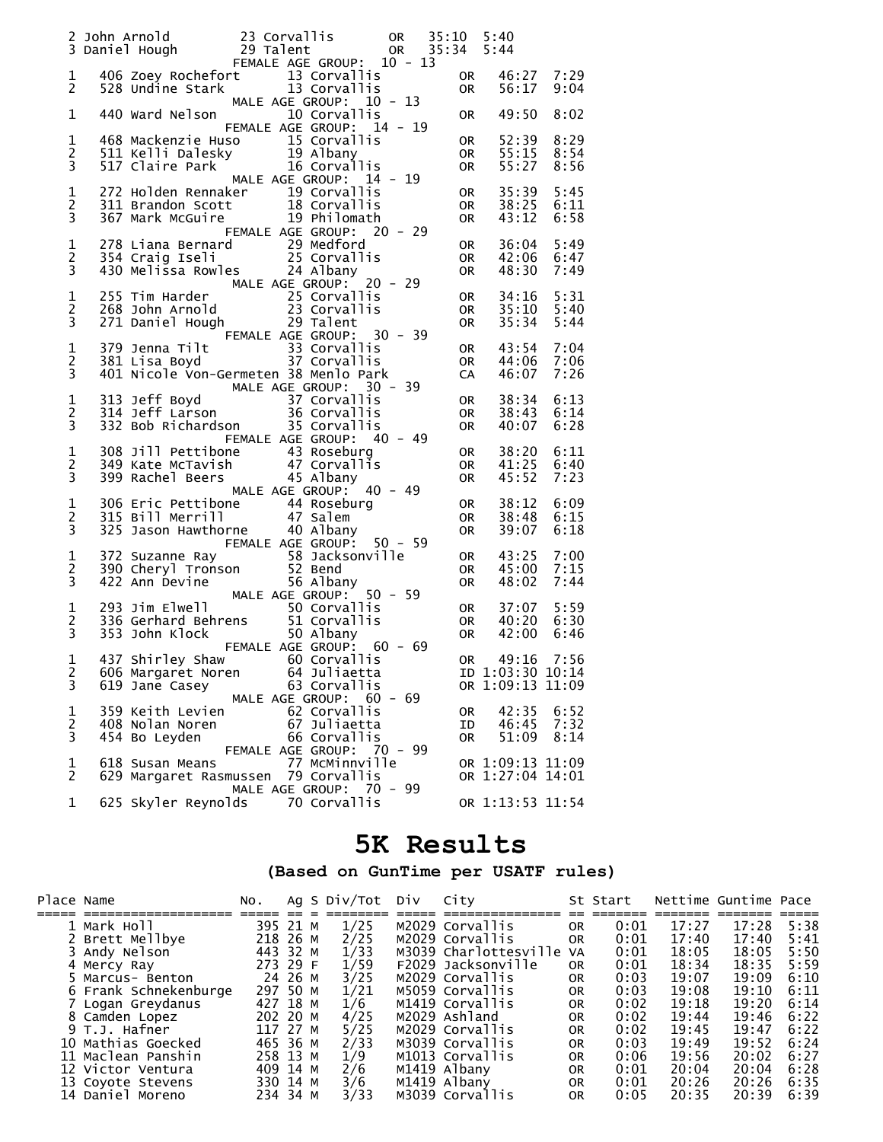|                                    | 2 John Arnold 23 Corvallis 20 OR 35:10 5:40<br>3 Daniel Hough 29 Talent 29 OR 35:34 5:44<br>5:44 FEMALE AGE GROUP: 10 - 13                                                                                                        |                                                      |                                              |         |                              |                                      |                      |
|------------------------------------|-----------------------------------------------------------------------------------------------------------------------------------------------------------------------------------------------------------------------------------|------------------------------------------------------|----------------------------------------------|---------|------------------------------|--------------------------------------|----------------------|
| 1<br>$\mathbf{2}$                  | 406 Zoey Rochefort 13 Corvallis<br>528 Undine Stark 13 Corvallis                                                                                                                                                                  | MALE AGE GROUP: 10 - 13                              |                                              |         | OR<br><b>OR</b>              | 46:27 7:29<br>56:17                  | 9:04                 |
| 1                                  | 440 Ward Nelson                                                                                                                                                                                                                   | FEMALE AGE GROUP: 14 - 19                            | 10 Corvallis                                 |         | 0R                           | 49:50                                | 8:02                 |
| 1<br>2<br>3                        | 468 Mackenzie Huso 15 Corvallis<br>511 Kelli Dalesky 19 Albany<br>517 Claire Park 16 Corvallis                                                                                                                                    |                                                      |                                              |         | 0R<br><b>OR</b><br><b>OR</b> | 52:39<br>55:15<br>55:27              | 8:29<br>8:54<br>8:56 |
| $\mathbf 1$<br>$\overline{c}$<br>3 | 272 Holden Rennaker<br>311 Brandon Scott<br>367 Mark McGuire<br>367 Mark McGuire<br>19 Philomath                                                                                                                                  | MALE AGE GROUP: 14 - 19<br>FEMALE AGE GROUP: 20 - 29 |                                              |         | 0R<br>0R<br><b>OR</b>        | 35:39<br>38:25<br>43:12              | 5:45<br>6:11<br>6:58 |
| $\mathbf 1$<br>$\overline{c}$<br>3 | 278 Liana Bernard 29 Medford<br>354 Craig Iseli 25 Corvallis<br>430 Melissa Rowles 24 Albany                                                                                                                                      |                                                      |                                              |         | 0R<br><b>OR</b><br><b>OR</b> | 36:04<br>42:06<br>48:30              | 5:49<br>6:47<br>7:49 |
| $\mathbf 1$<br>$\overline{c}$<br>3 | 255 Tim Harder<br>25 Corvallis<br>268 John Arnold<br>271 Daniel Hough<br>29 Talent                                                                                                                                                | FEMALE AGE GROUP: 30 - 39                            |                                              |         | 0R<br><b>OR</b><br>0R        | 34:16<br>35:10<br>35:34              | 5:31<br>5:40<br>5:44 |
| $\mathbf 1$<br>$\overline{c}$<br>3 | 379 Jenna Tilt 33 Corvallis<br>381 Lisa Boyd 37 Corvallis<br>401 Nicole Von-Germeten 38 Menlo Park                                                                                                                                |                                                      |                                              |         | OR<br><b>OR</b><br>CA        | 43:54<br>44:06<br>46:07              | 7:04<br>7:06<br>7:26 |
| $\mathbf 1$<br>$\overline{c}$<br>3 | MALE AGE GROUP: 30 - 39<br>313 Jeff Boyd<br>37 Corvallis<br>314 Jeff Larson<br>36 Corvallis<br>32 Bob Richardson<br>35 Corvallis                                                                                                  | FEMALE AGE GROUP: 40 - 49                            |                                              |         | 0R<br><b>OR</b><br><b>OR</b> | 38:34<br>38:43<br>40:07              | 6:13<br>6:14<br>6:28 |
| $\mathbf 1$<br>$\overline{c}$<br>3 | 308 Jill Pettibone<br>349 Kate McTavish 47 Corvallis<br>399 Rachel Beers 45 Albany                                                                                                                                                | MALE AGE GROUP: 40 - 49                              |                                              |         | OR<br><b>OR</b><br><b>OR</b> | 38:20<br>41:25<br>45:52              | 6:11<br>6:40<br>7:23 |
| $\mathbf 1$<br>$\overline{c}$<br>3 | 325 Jason Hawthorne 40 Albany                                                                                                                                                                                                     | FEMALE AGE GROUP: 50 - 59                            |                                              |         | 0R<br><b>OR</b><br>0R        | 38:12<br>38:48<br>39:07              | 6:09<br>6:15<br>6:18 |
| $\mathbf 1$<br>2<br>3              | 372 Suzanne Ray<br>390 Cheryl Tronson<br>390 Cheryl Tronson<br>422 Ann Devine<br>422 Ann Devine<br>56 Albany<br>423 Jim Elwell<br>56 Albany<br>50 Corvallis<br>336 Gerhard Behrens<br>51 Corvallis<br>353 John Klock<br>50 Albany |                                                      |                                              |         | 0R<br><b>OR</b><br><b>OR</b> | 43:25<br>45:00<br>48:02              | 7:00<br>7:15<br>7:44 |
| 1<br>$\overline{c}$<br>3           |                                                                                                                                                                                                                                   | FEMALE AGE GROUP: 60 - 69                            |                                              |         | OR<br>OR<br><b>OR</b>        | 37:07<br>40:20<br>42:00              | 5:59<br>6:30<br>6:46 |
| 1<br>3                             | 437 Shirley Shaw 60 Corvallis<br>2 606 Margaret Noren 64 Juliaetta 1D 1:03:30 10:14<br>619 Jane Casey                                                                                                                             | MALE AGE GROUP: 60 - 69                              | 63 Corvallis                                 |         | OR <sub>2</sub>              | 49:16<br>OR 1:09:13 11:09            | 7:56                 |
| 1<br>2<br>3                        | 359 Keith Levien<br>408 Nolan Noren<br>454 Bo Leyden                                                                                                                                                                              | FEMALE AGE GROUP: 70 - 99                            | 62 Corvallis<br>67 Juliaetta<br>66 Corvallis |         | 0R<br>ΙD<br>0R               | 42:35<br>46:45<br>51:09              | 6:52<br>7:32<br>8:14 |
| 1<br>2                             | 618 Susan Means<br>629 Margaret Rasmussen 79 Corvallis                                                                                                                                                                            |                                                      | 77 McMinnville                               |         |                              | OR 1:09:13 11:09<br>OR 1:27:04 14:01 |                      |
| 1                                  | 625 Skyler Reynolds                                                                                                                                                                                                               | MALE AGE GROUP:                                      | 70 Corvallis                                 | 70 - 99 |                              | OR 1:13:53 11:54                     |                      |

### **5K Results**

#### **(Based on GunTime per USATF rules)**

| Place Name |                       | NO.      |         | Ag S Div/Tot | Div | City                     |           | St Start |       | Nettime Guntime Pace |      |
|------------|-----------------------|----------|---------|--------------|-----|--------------------------|-----------|----------|-------|----------------------|------|
|            |                       |          |         |              |     |                          |           |          |       |                      |      |
|            | 1 Mark Holl           | 395 21 M |         | 1/25         |     | M2029 Corvallis          | 0R        | 0:01     | 17:27 | 17:28                | 5:38 |
|            | 2 Brett Mellbye       | 218 26 M |         | 2/25         |     | M2029 Corvallis          | <b>OR</b> | 0:01     | 17:40 | 17:40                | 5:41 |
|            | 3 Andy Nelson         | 443 32 M |         | 1/33         |     | M3039 Charlottesville VA |           | 0:01     | 18:05 | 18:05                | 5:50 |
|            | 4 Mercy Ray           | 273 29 F |         | 1/59         |     | F2029 Jacksonville       | <b>OR</b> | 0:01     | 18:34 | 18:35                | 5:59 |
|            | 5 Marcus- Benton      |          | 24 26 M | 3/25         |     | M2029 Corvallis          | 0R        | 0:03     | 19:07 | 19:09                | 6:10 |
|            | 6 Frank Schnekenburge | 297 50 M |         | 1/21         |     | M5059 Corvallis          | 0R        | 0:03     | 19:08 | 19:10                | 6:11 |
|            | 7 Logan Greydanus     | 427 18 M |         | 1/6          |     | M1419 Corvallis          | <b>OR</b> | 0:02     | 19:18 | 19:20                | 6:14 |
|            | 8 Camden Lopez        | 202 20 M |         | 4/25         |     | M2029 Ashland            | <b>OR</b> | 0:02     | 19:44 | 19:46                | 6:22 |
|            | 9 T.J. Hafner         | 117 27 M |         | 5/25         |     | M2029 Corvallis          | 0R        | 0:02     | 19:45 | 19:47                | 6:22 |
|            | 10 Mathias Goecked    | 465 36 M |         | 2/33         |     | M3039 Corvallis          | <b>OR</b> | 0:03     | 19:49 | 19:52                | 6:24 |
|            | 11 Maclean Panshin    | 258 13 M |         | 1/9          |     | M1013 Corvallis          | 0R        | 0:06     | 19:56 | 20:02                | 6:27 |
|            | 12 Victor Ventura     | 409 14 M |         | 2/6          |     | M1419 Albany             | 0R        | 0:01     | 20:04 | 20:04                | 6:28 |
|            | 13 Coyote Stevens     | 330 14 M |         | 3/6          |     | M1419 Albanv             | <b>OR</b> | 0:01     | 20:26 | 20:26                | 6:35 |
|            | 14 Daniel Moreno      | 234 34 M |         | 3/33         |     | M3039 Corvallis          | 0R        | 0:05     | 20:35 | 20:39                | 6:39 |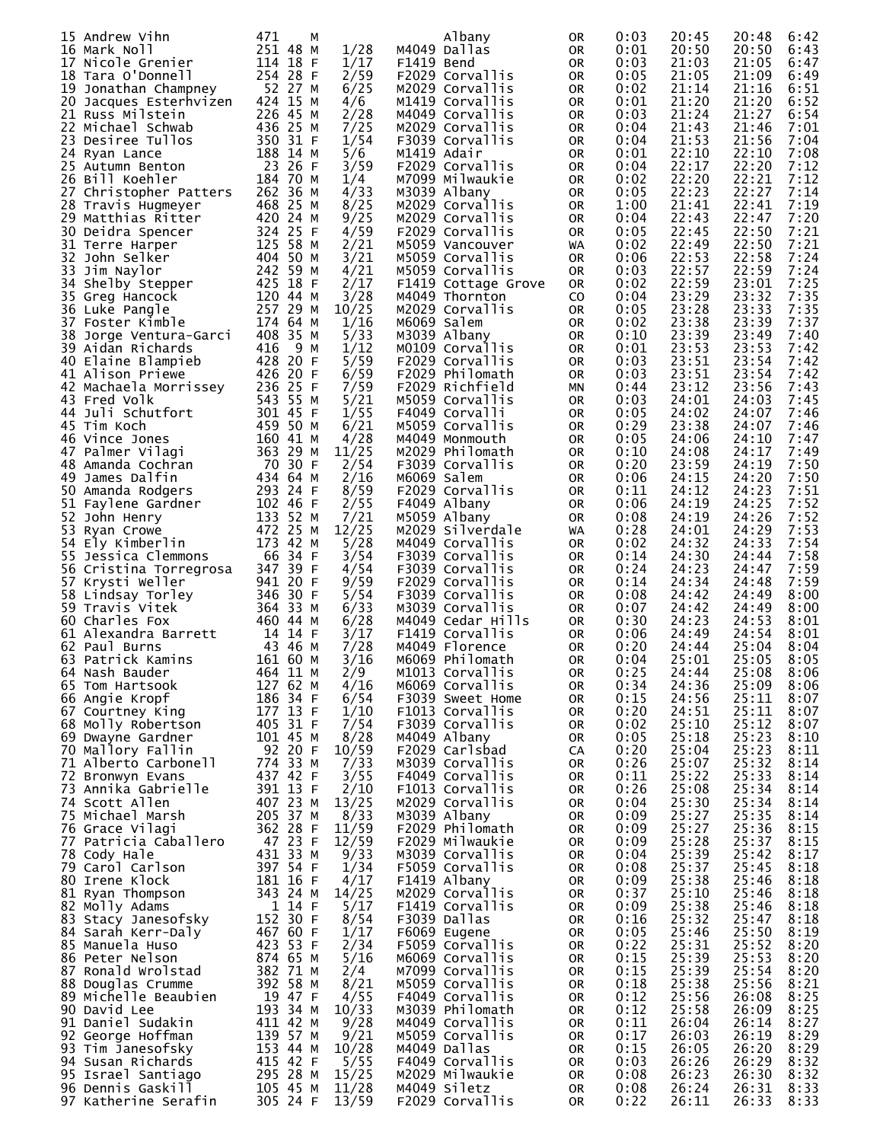| 15 Andrew Vihn         | 471<br>м   |       | Albany              | 0R        | 0:03 | 20:45 | 20:48<br>6:42 |  |
|------------------------|------------|-------|---------------------|-----------|------|-------|---------------|--|
| 16 Mark Noll           | 251 48 M   | 1/28  | M4049 Dallas        | 0R        | 0:01 | 20:50 | 20:50<br>6:43 |  |
|                        |            |       |                     |           |      |       |               |  |
| 17 Nicole Grenier      | 114 18 F   | 1/17  | F1419 Bend          | 0R        | 0:03 | 21:03 | 21:05<br>6:47 |  |
| 18 Tara O'Donnell      | 254 28 F   | 2/59  | F2029 Corvallis     | 0R        | 0:05 | 21:05 | 21:09<br>6:49 |  |
| 19 Jonathan Champney   | 52 27 M    | 6/25  | M2029 Corvallis     | 0R        | 0:02 | 21:14 | 21:16<br>6:51 |  |
|                        | 424 15 M   |       |                     |           |      |       |               |  |
| 20 Jacques Esterhvizen |            | 4/6   | M1419 Corvallis     | 0R        | 0:01 | 21:20 | 21:20<br>6:52 |  |
| 21 Russ Milstein       | 226 45 M   | 2/28  | M4049 Corvallis     | 0R        | 0:03 | 21:24 | 21:27<br>6:54 |  |
| 22 Michael Schwab      | 436 25 M   | 7/25  | M2029 Corvallis     | 0R        | 0:04 | 21:43 | 21:46<br>7:01 |  |
|                        |            |       |                     |           |      |       |               |  |
| 23 Desiree Tullos      | 350 31 F   | 1/54  | F3039 Corvallis     | 0R        | 0:04 | 21:53 | 21:56<br>7:04 |  |
| 24 Ryan Lance          | 188 14 M   | 5/6   | M1419 Adair         | 0R        | 0:01 | 22:10 | 22:10<br>7:08 |  |
| 25 Autumn Benton       | 23 26 F    | 3/59  | F2029 Corvallis     | 0R        | 0:04 | 22:17 | 22:20<br>7:12 |  |
|                        |            |       |                     |           |      |       |               |  |
| 26 Bill Koehler        | 184 70 M   | 1/4   | M7099 Milwaukie     | 0R        | 0:02 | 22:20 | 22:21<br>7:12 |  |
| 27 Christopher Patters | 262 36 M   | 4/33  | M3039 Albany        | 0R        | 0:05 | 22:23 | 22:27<br>7:14 |  |
| 28 Travis Hugmeyer     | 468 25 M   | 8/25  | M2029 Corvallis     | 0R        | 1:00 | 21:41 | 22:41<br>7:19 |  |
| 29 Matthias Ritter     | 420 24 M   | 9/25  | M2029 Corvallis     | 0R        | 0:04 | 22:43 | 22:47<br>7:20 |  |
|                        |            |       |                     |           |      |       |               |  |
| 30 Deidra Spencer      | 324 25 F   | 4/59  | F2029 Corvallis     | 0R        | 0:05 | 22:45 | 22:50<br>7:21 |  |
| 31 Terre Harper        | 125 58 M   | 2/21  | M5059 Vancouver     | WA        | 0:02 | 22:49 | 7:21<br>22:50 |  |
| 32 John Selker         | 404 50 M   | 3/21  | M5059 Corvallis     | 0R        | 0:06 | 22:53 | 22:58<br>7:24 |  |
|                        |            |       |                     |           |      |       |               |  |
| 33 Jim Naylor          | 242 59 M   | 4/21  | M5059 Corvallis     | 0R        | 0:03 | 22:57 | 22:59<br>7:24 |  |
| 34<br>Shelby Stepper   | 425 18 F   | 2/17  | F1419 Cottage Grove | 0R        | 0:02 | 22:59 | 7:25<br>23:01 |  |
| 35 Greg Hancock        | 120 44 M   | 3/28  | M4049 Thornton      | CO.       | 0:04 | 23:29 | 23:32<br>7:35 |  |
| 36 Luke Pangle         | 257 29 M   | 10/25 | M2029 Corvallis     | 0R        | 0:05 | 23:28 | 23:33<br>7:35 |  |
|                        |            |       |                     |           |      |       |               |  |
| 37 Foster Kimble       | 174 64 M   | 1/16  | M6069 Salem         | 0R        | 0:02 | 23:38 | 7:37<br>23:39 |  |
| 38 Jorge Ventura-Garci | 408 35 M   | 5/33  | M3039 Albany        | 0R        | 0:10 | 23:39 | 23:49<br>7:40 |  |
| 39 Aidan Richards      | 416<br>9 M | 1/12  | MO109 Corvallis     | 0R        | 0:01 | 23:53 | 23:53<br>7:42 |  |
|                        |            |       |                     |           |      |       |               |  |
| 40 Elaine Blampieb     | 428 20 F   | 5/59  | F2029 Corvallis     | 0R        | 0:03 | 23:51 | 23:54<br>7:42 |  |
| 41 Alison Priewe       | 426 20 F   | 6/59  | F2029 Philomath     | 0R        | 0:03 | 23:51 | 23:54<br>7:42 |  |
| 42 Machaela Morrissey  | 236 25 F   | 7/59  | F2029 Richfield     | ΜN        | 0:44 | 23:12 | 23:56<br>7:43 |  |
| 43 Fred Volk           | 543 55 M   | 5/21  | M5059 Corvallis     | 0R        | 0:03 | 24:01 | 24:03<br>7:45 |  |
|                        |            |       |                     |           |      |       |               |  |
| 44 Juli Schutfort      | 301 45 F   | 1/55  | F4049 Corvalli      | 0R        | 0:05 | 24:02 | 24:07<br>7:46 |  |
| 45 Tim Koch            | 459 50 M   | 6/21  | M5059 Corvallis     | 0R        | 0:29 | 23:38 | 24:07<br>7:46 |  |
| 46 Vince Jones         | 160 41 M   | 4/28  | M4049 Monmouth      | 0R        | 0:05 | 24:06 | 24:10<br>7:47 |  |
|                        |            |       |                     |           |      |       |               |  |
| 47 Palmer Vilagi       | 363 29 M   | 11/25 | M2029 Philomath     | 0R        | 0:10 | 24:08 | 24:17<br>7:49 |  |
| 48 Amanda Cochran      | 70 30 F    | 2/54  | F3039 Corvallis     | 0R        | 0:20 | 23:59 | 24:19<br>7:50 |  |
| 49 James Dalfin        | 434 64 M   | 2/16  | M6069 Salem         | 0R        | 0:06 | 24:15 | 24:20<br>7:50 |  |
| 50 Amanda Rodgers      | 293 24 F   | 8/59  | F2029 Corvallis     | 0R        | 0:11 | 24:12 | 24:23<br>7:51 |  |
|                        |            |       |                     |           |      |       |               |  |
| 51 Faylene Gardner     | 102 46 F   | 2/55  | F4049 Albany        | 0R        | 0:06 | 24:19 | 7:52<br>24:25 |  |
| 52 John Henry          | 133 52 M   | 7/21  | M5059 Albany        | 0R        | 0:08 | 24:19 | 24:26<br>7:52 |  |
| 53 Ryan Crowe          | 472 25 M   | 12/25 | M2029 Silverdale    | WA        | 0:28 | 24:01 | 24:29<br>7:53 |  |
| 54                     | 173 42 M   | 5/28  | M4049 Corvallis     |           | 0:02 | 24:32 | 7:54<br>24:33 |  |
| Ely Kimberlin          |            |       |                     | 0R        |      |       |               |  |
| 55 Jessica Clemmons    | 66 34 F    | 3/54  | F3039 Corvallis     | 0R        | 0:14 | 24:30 | 24:44<br>7:58 |  |
| 56 Cristina Torregrosa | 347 39 F   | 4/54  | F3039 Corvallis     | 0R        | 0:24 | 24:23 | 7:59<br>24:47 |  |
| 57 Krysti Weller       | 941 20 F   | 9/59  | F2029 Corvallis     | 0R        | 0:14 | 24:34 | 7:59<br>24:48 |  |
|                        |            |       |                     |           |      |       | 24:49         |  |
| 58 Lindsay Torley      | 346 30 F   | 5/54  | F3039 Corvallis     | 0R        | 0:08 | 24:42 | 8:00          |  |
| 59 Travis Vitek        | 364 33 M   | 6/33  | M3039 Corvallis     | 0R        | 0:07 | 24:42 | 24:49<br>8:00 |  |
| 60 Charles Fox         | 460 44 M   | 6/28  | M4049 Cedar Hills   | 0R        | 0:30 | 24:23 | 24:53<br>8:01 |  |
| 61 Alexandra Barrett   | 14 14 F    | 3/17  | F1419 Corvallis     | 0R        | 0:06 | 24:49 | 24:54<br>8:01 |  |
|                        |            |       |                     |           |      |       |               |  |
| 62 Paul Burns          | 43 46 M    | 7/28  | M4049 Florence      | <b>OR</b> | 0:20 | 24:44 | 25:04<br>8:04 |  |
| 63 Patrick Kamins      | 161 60 M   | 3/16  | M6069 Philomath     | <b>OR</b> | 0:04 | 25:01 | 25:05<br>8:05 |  |
| 64 Nash Bauder         | 464 11 M   | 2/9   | M1013 Corvallis     | OR        | 0:25 | 24:44 | 25:08<br>8:06 |  |
| 65 Tom Hartsook        | 127 62 M   | 4/16  | M6069 Corvallis     | 0R        | 0:34 | 24:36 | 25:09<br>8:06 |  |
|                        |            |       |                     |           |      |       |               |  |
| 66 Angie Kropf         | 186 34 F   | 6/54  | F3039 Sweet Home    | 0R        | 0:15 | 24:56 | 25:11<br>8:07 |  |
| 67 Courtney King       | 177 13 F   | 1/10  | F1013 Corvallis     | 0R        | 0:20 | 24:51 | 25:11<br>8:07 |  |
| 68 Molly Robertson     | 405 31 F   | 7/54  | F3039 Corvallis     | 0R        | 0:02 | 25:10 | 25:12<br>8:07 |  |
| 69 Dwayne Gardner      | 101 45 M   | 8/28  | M4049 Albany        | 0R        | 0:05 | 25:18 | 25:23<br>8:10 |  |
|                        | 92 20 F    |       |                     |           |      | 25:04 |               |  |
| 70 Mallory Fallin      |            | 10/59 | F2029 Carlsbad      | CA        | 0:20 |       | 25:23<br>8:11 |  |
| 71 Alberto Carbonell   | 774 33 M   | 7/33  | M3039 Corvallis     | 0R        | 0:26 | 25:07 | 25:32<br>8:14 |  |
| 72 Bronwyn Evans       | 437 42 F   | 3/55  | F4049 Corvallis     | 0R        | 0:11 | 25:22 | 25:33<br>8:14 |  |
| 73 Annika Gabrielle    | 391 13 F   | 2/10  | F1013 Corvallis     | 0R        | 0:26 | 25:08 | 25:34<br>8:14 |  |
| 74 Scott Allen         | 407 23 M   | 13/25 | M2029 Corvallis     |           | 0:04 | 25:30 | 25:34<br>8:14 |  |
|                        |            |       |                     | 0R        |      |       |               |  |
| 75 Michael Marsh       | 205 37 M   | 8/33  | M3039 Albany        | 0R        | 0:09 | 25:27 | 25:35<br>8:14 |  |
| 76 Grace Vilagi        | 362 28 F   | 11/59 | F2029 Philomath     | 0R        | 0:09 | 25:27 | 25:36<br>8:15 |  |
| 77 Patricia Caballero  | 47 23 F    | 12/59 | F2029 Milwaukie     | 0R        | 0:09 | 25:28 | 25:37<br>8:15 |  |
| 78 Cody Hale           | 431 33 M   | 9/33  | M3039 Corvallis     |           | 0:04 | 25:39 | 25:42<br>8:17 |  |
|                        |            |       |                     | 0R        |      |       |               |  |
| 79 Carol Carlson       | 397 54 F   | 1/34  | F5059 Corvallis     | 0R        | 0:08 | 25:37 | 25:45<br>8:18 |  |
| 80 Irene Klock         | 181 16 F   | 4/17  | F1419 Albany        | 0R        | 0:09 | 25:38 | 25:46<br>8:18 |  |
| 81 Ryan Thompson       | 343 24 M   | 14/25 | M2029 Corvallis     | 0R        | 0:37 | 25:10 | 25:46<br>8:18 |  |
| 82 Molly Adams         | 1 14 F     | 5/17  | F1419 Corvallis     |           | 0:09 | 25:38 | 25:46<br>8:18 |  |
|                        |            |       |                     | 0R        |      |       |               |  |
| 83 Stacy Janesofsky    | 152 30 F   | 8/54  | F3039 Dallas        | 0R        | 0:16 | 25:32 | 25:47<br>8:18 |  |
| 84 Sarah Kerr-Daly     | 467 60 F   | 1/17  | F6069 Eugene        | 0R        | 0:05 | 25:46 | 25:50<br>8:19 |  |
| 85 Manuela Huso        | 423 53 F   | 2/34  | F5059 Corvallis     | 0R        | 0:22 | 25:31 | 25:52<br>8:20 |  |
| 86 Peter Nelson        | 874 65 M   | 5/16  | M6069 Corvallis     | 0R        | 0:15 | 25:39 | 25:53<br>8:20 |  |
|                        |            |       |                     |           |      |       |               |  |
| 87 Ronald Wrolstad     | 382 71 M   | 2/4   | M7099 Corvallis     | 0R        | 0:15 | 25:39 | 25:54<br>8:20 |  |
| 88 Douglas Crumme      | 392 58 M   | 8/21  | M5059 Corvallis     | 0R        | 0:18 | 25:38 | 25:56<br>8:21 |  |
| 89 Michelle Beaubien   | 19 47 F    | 4/55  | F4049 Corvallis     | 0R        | 0:12 | 25:56 | 26:08<br>8:25 |  |
| 90 David Lee           | 193 34 M   |       | M3039 Philomath     |           | 0:12 | 25:58 | 26:09         |  |
|                        |            | 10/33 |                     | 0R        |      |       | 8:25          |  |
| 91 Daniel Sudakin      | 411 42 M   | 9/28  | M4049 Corvallis     | 0R        | 0:11 | 26:04 | 26:14<br>8:27 |  |
| 92 George Hoffman      | 139 57 M   | 9/21  | M5059 Corvallis     | 0R        | 0:17 | 26:03 | 26:19<br>8:29 |  |
| 93 Tim Janesofsky      | 153 44 M   | 10/28 | M4049 Dallas        | 0R        | 0:15 | 26:05 | 26:20<br>8:29 |  |
| 94 Susan Richards      | 415 42 F   | 5/55  | F4049 Corvallis     | 0R        | 0:03 | 26:26 | 26:29<br>8:32 |  |
|                        |            |       |                     |           |      |       |               |  |
| 95 Israel Santiago     | 295 28 M   | 15/25 | M2029 Milwaukie     | 0R        | 0:08 | 26:23 | 26:30<br>8:32 |  |
| 96 Dennis Gaskill      | 105 45 M   | 11/28 | M4049 Siletz        | 0R        | 0:08 | 26:24 | 26:31<br>8:33 |  |
| 97 Katherine Serafin   | 305 24 F   | 13/59 | F2029 Corvallis     | 0R        | 0:22 | 26:11 | 26:33<br>8:33 |  |
|                        |            |       |                     |           |      |       |               |  |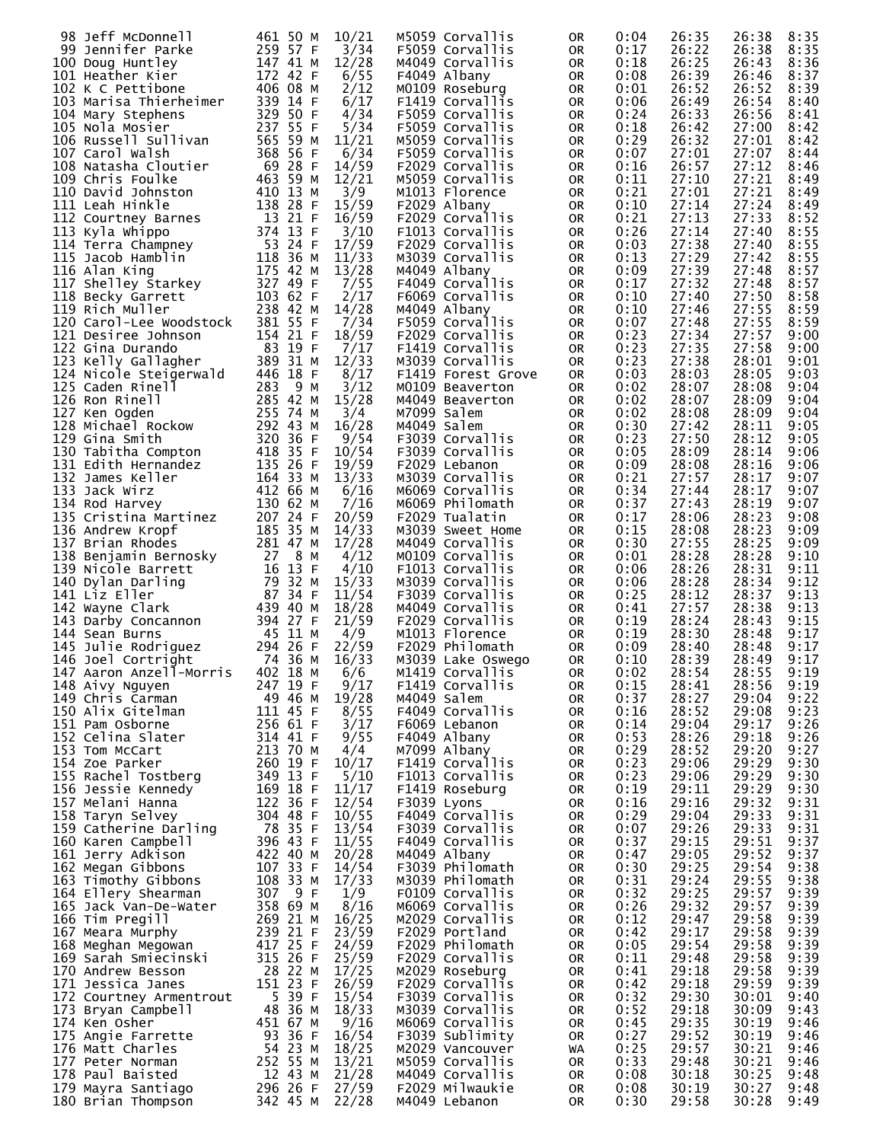| 98 Jeff McDonnell                      | 461 50 M   | 10/21 | M5059 Corvallis    | 0R        | 0:04 | 26:35 | 26:38<br>8:35 |
|----------------------------------------|------------|-------|--------------------|-----------|------|-------|---------------|
| 99 Jennifer Parke                      | 259 57 F   | 3/34  | F5059 Corvallis    | 0R        | 0:17 | 26:22 | 26:38<br>8:35 |
| 100 Doug Huntley                       | 147 41 M   | 12/28 | M4049 Corvallis    | 0R        | 0:18 | 26:25 | 26:43<br>8:36 |
| 101 Heather Kier                       | 172 42 F   | 6/55  | F4049 Albany       | 0R        | 0:08 | 26:39 | 26:46<br>8:37 |
| 102 K C Pettibone                      | 406 08 M   | 2/12  | MO109 Roseburg     | 0R        | 0:01 | 26:52 | 26:52<br>8:39 |
|                                        |            |       | F1419 Corvallis    |           |      |       | 26:54         |
| 103 Marisa Thierheimer                 | 339 14 F   | 6/17  |                    | 0R        | 0:06 | 26:49 | 8:40          |
| 104 Mary Stephens                      | 329 50 F   | 4/34  | F5059 Corvallis    | 0R        | 0:24 | 26:33 | 26:56<br>8:41 |
| 105 Nola Mosier                        | 237 55 F   | 5/34  | F5059 Corvallis    | 0R        | 0:18 | 26:42 | 27:00<br>8:42 |
| 106 Russell Sullivan                   | 565 59 M   | 11/21 | M5059 Corvallis    | 0R        | 0:29 | 26:32 | 27:01<br>8:42 |
| 107 Carol Walsh                        | 368 56 F   | 6/34  | F5059 Corvallis    | 0R        | 0:07 | 27:01 | 27:07<br>8:44 |
|                                        |            |       |                    |           |      |       |               |
| 108 Natasha Cloutier                   | 69 28 F    | 14/59 | F2029 Corvallis    | 0R        | 0:16 | 26:57 | 27:12<br>8:46 |
| 109 Chris Foulke                       | 463 59 M   | 12/21 | M5059 Corvallis    | 0R        | 0:11 | 27:10 | 27:21<br>8:49 |
| 110 David Johnston                     | 410 13 M   | 3/9   | M1013 Florence     | 0R        | 0:21 | 27:01 | 27:21<br>8:49 |
| 111 Leah Hinkle                        | 138 28 F   | 15/59 | F2029 Albany       | 0R        | 0:10 | 27:14 | 27:24<br>8:49 |
|                                        |            |       |                    |           |      |       |               |
| 112 Courtney Barnes                    | 13 21 F    | 16/59 | F2029 Corvallis    | 0R        | 0:21 | 27:13 | 27:33<br>8:52 |
| 113 Kyla Whippo                        | 374 13 F   | 3/10  | F1013 Corvallis    | 0R        | 0:26 | 27:14 | 8:55<br>27:40 |
| 113 кута …<br>114 Terra Champney       | 53 24 F    | 17/59 | F2029 Corvallis    | 0R        | 0:03 | 27:38 | 8:55<br>27:40 |
| 115 Jacob Hamblin                      | 118 36 M   | 11/33 | M3039 Corvallis    | 0R        | 0:13 | 27:29 | 27:42<br>8:55 |
|                                        | 175 42 M   | 13/28 | M4049 Albany       |           | 0:09 | 27:39 | 27:48<br>8:57 |
| 116 Alan King<br>117 Shelley Starkey   |            |       |                    | 0R        |      |       |               |
|                                        | 327 49 F   | 7/55  | F4049 Corvallis    | 0R        | 0:17 | 27:32 | 27:48<br>8:57 |
| 118 Becky Garrett                      | 103 62 F   | 2/17  | F6069 Corvallis    | 0R        | 0:10 | 27:40 | 8:58<br>27:50 |
| 119 Rich Muller                        | 238 42 M   | 14/28 | M4049 Albany       | 0R        | 0:10 | 27:46 | 27:55<br>8:59 |
| 120 Carol-Lee Woodstock                | 381 55 F   | 7/34  | F5059 Corvallis    | 0R        | 0:07 | 27:48 | 27:55<br>8:59 |
|                                        |            |       |                    |           |      |       |               |
| 121 Desiree Johnson                    | 154 21 F   | 18/59 | F2029 Corvallis    | 0R        | 0:23 | 27:34 | 27:57<br>9:00 |
| 122 Gina Durando                       | 83 19 F    | 7/17  | F1419 Corvallis    | 0R        | 0:23 | 27:35 | 27:58<br>9:00 |
| 123 Kelly Gallagher                    | 389 31 M   | 12/33 | M3039 Corvallis    | 0R        | 0:23 | 27:38 | 28:01<br>9:01 |
| 124 Nicole Steigerwald                 | 446 18 F   | 8/17  | F1419 Forest Grove | 0R        | 0:03 | 28:03 | 28:05<br>9:03 |
|                                        |            |       |                    |           |      |       |               |
| 125 Caden Rinell                       | 283<br>9 M | 3/12  | MO109 Beaverton    | 0R        | 0:02 | 28:07 | 28:08<br>9:04 |
| 126 Ron Rinell                         | 285 42 M   | 15/28 | M4049 Beaverton    | 0R        | 0:02 | 28:07 | 28:09<br>9:04 |
| 127 Ken Ogden                          | 255 74 M   | 3/4   | M7099 Salem        | 0R        | 0:02 | 28:08 | 28:09<br>9:04 |
| 128 Michael Rockow                     | 292 43 M   | 16/28 | M4049 Salem        | 0R        | 0:30 | 27:42 | 28:11<br>9:05 |
| 129 Gina Smith                         | 320 36 F   | 9/54  | F3039 Corvallis    | 0R        | 0:23 | 27:50 | 28:12<br>9:05 |
|                                        |            |       |                    |           |      |       |               |
| 130 Tabitha Compton                    | 418 35 F   | 10/54 | F3039 Corvallis    | 0R        | 0:05 | 28:09 | 28:14<br>9:06 |
| 131 Edith Hernandez                    | 135 26 F   | 19/59 | F2029 Lebanon      | 0R        | 0:09 | 28:08 | 28:16<br>9:06 |
| 132 James Keller                       | 164 33 M   | 13/33 | M3039 Corvallis    | 0R        | 0:21 | 27:57 | 28:17<br>9:07 |
| 133 Jack Wirz                          | 412 66 M   | 6/16  | M6069 Corvallis    | 0R        | 0:34 | 27:44 | 28:17<br>9:07 |
|                                        |            |       |                    |           |      |       |               |
| 134 Rod Harvey                         | 130 62 M   | 7/16  | M6069 Philomath    | 0R        | 0:37 | 27:43 | 28:19<br>9:07 |
| 135 Cristina Martinez                  | 207 24 F   | 20/59 | F2029 Tualatin     | 0R        | 0:17 | 28:06 | 28:23<br>9:08 |
| 136 Andrew Kropf                       | 185 35 M   | 14/33 | M3039 Sweet Home   | 0R        | 0:15 | 28:08 | 28:23<br>9:09 |
| 137 Brian Rhodes                       | 281 47 M   | 17/28 | M4049 Corvallis    | 0R        | 0:30 | 27:55 | 28:25<br>9:09 |
|                                        | 8 M        | 4/12  |                    |           | 0:01 | 28:28 | 28:28<br>9:10 |
| 138 Benjamin Bernosky                  | 27         |       | MO109 Corvallis    | 0R        |      |       |               |
| 139 Nicole Barrett                     | 16 13 F    | 4/10  | F1013 Corvallis    | 0R        | 0:06 | 28:26 | 28:31<br>9:11 |
| 140 Dylan Darling                      | 79 32 M    | 15/33 | M3039 Corvallis    | 0R        | 0:06 | 28:28 | 28:34<br>9:12 |
| 141 Liz Eller                          | 87 34 F    | 11/54 | F3039 Corvallis    | 0R        | 0:25 | 28:12 | 28:37<br>9:13 |
| 142 Wayne Clark                        | 439 40 M   | 18/28 | M4049 Corvallis    | 0R        | 0:41 | 27:57 | 28:38<br>9:13 |
|                                        |            |       |                    |           |      |       |               |
| 143 Darby Concannon                    | 394 27 F   | 21/59 | F2029 Corvallis    | 0R        | 0:19 | 28:24 | 28:43<br>9:15 |
| 144 Sean Burns                         | 45 11 M    | 4/9   | M1013 Florence     | 0R        | 0:19 | 28:30 | 28:48<br>9:17 |
| 145 Julie Rodriguez                    | 294 26 F   | 22/59 | F2029 Philomath    | <b>OR</b> | 0:09 | 28:40 | 28:48<br>9:17 |
| 146 Joel Cortright                     | 74 36 M    | 16/33 | M3039 Lake Oswego  | 0R        | 0:10 | 28:39 | 28:49<br>9:17 |
| 147 Aaron Anzell-Morris 402 18 M $6/6$ |            |       | M1419 Corvallis    | OR        | 0:02 | 28:54 | 28:55 9:19    |
|                                        |            |       |                    |           |      |       |               |
| 148 Aivy Nguyen                        | 247 19 F   | 9/17  | F1419 Corvallis    | 0R        | 0:15 | 28:41 | 28:56<br>9:19 |
| 149 Chris Carman                       | 49 46 M    | 19/28 | M4049 Salem        | 0R        | 0:37 | 28:27 | 29:04<br>9:22 |
| 150 Alix Gitelman                      | 111 45 F   | 8/55  | F4049 Corvallis    | 0R        | 0:16 | 28:52 | 9:23<br>29:08 |
| 151 Pam Osborne                        | 256 61 F   | 3/17  | F6069 Lebanon      | 0R        | 0:14 | 29:04 | 29:17<br>9:26 |
| 152 Celina Slater                      | 314 41 F   | 9/55  | F4049 Albany       | 0R        | 0:53 | 28:26 | 29:18<br>9:26 |
|                                        |            |       |                    |           |      |       |               |
| 153 Tom McCart                         | 213 70 M   | 4/4   | M7099 Albany       | 0R        | 0:29 | 28:52 | 29:20<br>9:27 |
| 154 Zoe Parker                         | 260 19 F   | 10/17 | F1419 Corvallis    | 0R        | 0:23 | 29:06 | 9:30<br>29:29 |
| 155 Rachel Tostberg                    | 349 13 F   | 5/10  | F1013 Corvallis    | 0R        | 0:23 | 29:06 | 29:29<br>9:30 |
| 156 Jessie Kennedy                     | 169 18 F   | 11/17 | F1419 Roseburg     | 0R        | 0:19 | 29:11 | 29:29<br>9:30 |
| 157 Melani Hanna                       | 122 36 F   | 12/54 | F3039 Lyons        | 0R        | 0:16 | 29:16 | 29:32<br>9:31 |
|                                        |            |       | F4049 Corvallis    |           | 0:29 | 29:04 | 29:33<br>9:31 |
| 158 Taryn Selvey                       | 304 48 F   | 10/55 |                    | 0R        |      |       |               |
| 159 Catherine Darling                  | 78 35 F    | 13/54 | F3039 Corvallis    | 0R        | 0:07 | 29:26 | 29:33<br>9:31 |
| 160 Karen Campbell                     | 396 43 F   | 11/55 | F4049 Corvallis    | 0R        | 0:37 | 29:15 | 29:51<br>9:37 |
| 161 Jerry Adkison                      | 422 40 M   | 20/28 | M4049 Albany       | 0R        | 0:47 | 29:05 | 29:52<br>9:37 |
| 162 Megan Gibbons                      | 107 33 F   | 14/54 | F3039 Philomath    | 0R        | 0:30 | 29:25 | 29:54<br>9:38 |
|                                        |            |       |                    |           |      |       |               |
| 163 Timothy Gibbons                    | 108 33 M   | 17/33 | M3039 Philomath    | 0R        | 0:31 | 29:24 | 29:55<br>9:38 |
| 164 Ellery Shearman                    | 307 9 F    | 1/9   | F0109 Corvallis    | 0R        | 0:32 | 29:25 | 29:57<br>9:39 |
| 165 Jack Van-De-Water                  | 358 69 M   | 8/16  | M6069 Corvallis    | 0R        | 0:26 | 29:32 | 9:39<br>29:57 |
| 166 Tim Pregill                        | 269 21 M   | 16/25 | M2029 Corvallis    | 0R        | 0:12 | 29:47 | 29:58<br>9:39 |
| 167 Meara Murphy                       | 239 21 F   | 23/59 | F2029 Portland     | 0R        | 0:42 | 29:17 | 29:58<br>9:39 |
|                                        |            |       |                    |           |      |       |               |
| 168 Meghan Megowan                     | 417 25 F   | 24/59 | F2029 Philomath    | 0R        | 0:05 | 29:54 | 29:58<br>9:39 |
| 169 Sarah Smiecinski                   | 315 26 F   | 25/59 | F2029 Corvallis    | 0R        | 0:11 | 29:48 | 29:58<br>9:39 |
| 170 Andrew Besson                      | 28 22 M    | 17/25 | M2029 Roseburg     | 0R        | 0:41 | 29:18 | 29:58<br>9:39 |
| 171 Jessica Janes                      | 151 23 F   | 26/59 | F2029 Corvallis    | 0R        | 0:42 | 29:18 | 29:59<br>9:39 |
|                                        |            |       |                    |           |      |       |               |
| 172 Courtney Armentrout                | 5 39 F     | 15/54 | F3039 Corvallis    | 0R        | 0:32 | 29:30 | 30:01<br>9:40 |
| 173 Bryan Campbell                     | 48 36 M    | 18/33 | M3039 Corvallis    | 0R        | 0:52 | 29:18 | 9:43<br>30:09 |
| 174 Ken Osher                          | 451 67 M   | 9/16  | M6069 Corvallis    | 0R        | 0:45 | 29:35 | 9:46<br>30:19 |
| 175 Angie Farrette                     | 93 36 F    | 16/54 | F3039 Sublimity    | 0R        | 0:27 | 29:52 | 30:19<br>9:46 |
| 176 Matt Charles                       | 54 23 M    | 18/25 | M2029 Vancouver    | WA        | 0:25 | 29:57 | 30:21<br>9:46 |
|                                        |            |       |                    |           |      |       |               |
| 177 Peter Norman                       | 252 55 M   | 13/21 | M5059 Corvallis    | 0R        | 0:33 | 29:48 | 30:21<br>9:46 |
| 178 Paul Baisted                       | 12 43 M    | 21/28 | M4049 Corvallis    | 0R        | 0:08 | 30:18 | 30:25<br>9:48 |
| 179 Mayra Santiago                     | 296 26 F   | 27/59 | F2029 Milwaukie    | 0R        | 0:08 | 30:19 | 30:27<br>9:48 |
| 180 Brian Thompson                     | 342 45 M   | 22/28 | M4049 Lebanon      | 0R        | 0:30 | 29:58 | 30:28<br>9:49 |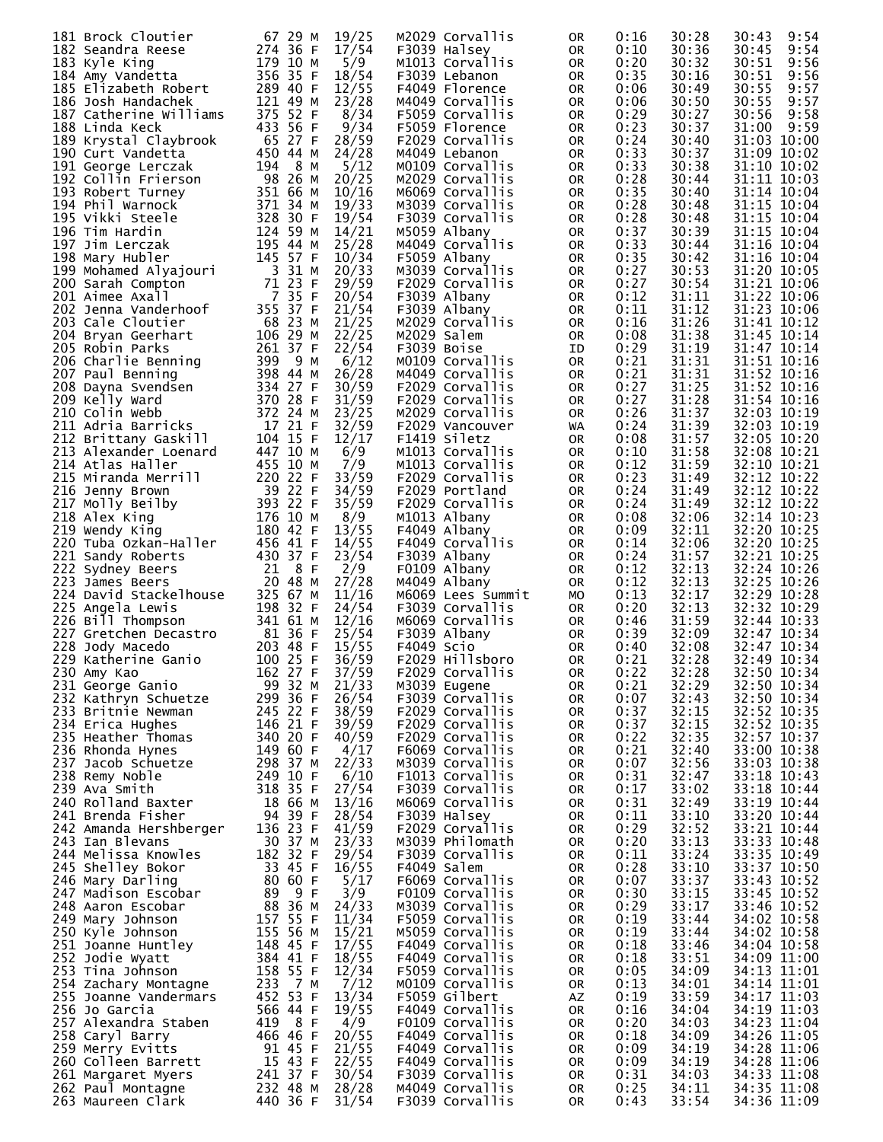| 181 Brock Cloutier                                                 | 67 29 M    | 19/25 | M2029 Corvallis   | 0R | 0:16 | 30:28 | 9:54<br>30:43 |
|--------------------------------------------------------------------|------------|-------|-------------------|----|------|-------|---------------|
| 182 Seandra Reese                                                  | 274 36 F   | 17/54 | F3039 Halsey      | 0R | 0:10 | 30:36 | 9:54<br>30:45 |
|                                                                    |            |       |                   |    |      |       |               |
| 183 Kyle King                                                      | 179 10 M   | 5/9   | M1013 Corvallis   | 0R | 0:20 | 30:32 | 30:51<br>9:56 |
| 184 Amy Vandetta                                                   | 356 35 F   | 18/54 | F3039 Lebanon     | 0R | 0:35 | 30:16 | 30:51<br>9:56 |
| 185 Elizabeth Robert                                               | 289 40 F   | 12/55 | F4049 Florence    | 0R | 0:06 | 30:49 | 30:55<br>9:57 |
|                                                                    |            |       |                   |    |      |       |               |
| 186 Josh Handachek                                                 | 121 49 M   | 23/28 | M4049 Corvallis   | 0R | 0:06 | 30:50 | 30:55<br>9:57 |
| 187 Catherine Williams                                             | 375 52 F   | 8/34  | F5059 Corvallis   | 0R | 0:29 | 30:27 | 30:56<br>9:58 |
| 188 Linda Keck                                                     | 433 56 F   | 9/34  | F5059 Florence    | 0R | 0:23 | 30:37 | 31:00<br>9:59 |
|                                                                    |            |       |                   |    |      |       |               |
| 189 Krystal Claybrook                                              | 65 27 F    | 28/59 | F2029 Corvallis   | 0R | 0:24 | 30:40 | 31:03 10:00   |
| 190 Curt Vandetta                                                  | 450 44 M   | 24/28 | M4049 Lebanon     | 0R | 0:33 | 30:37 | 31:09 10:02   |
|                                                                    | 194<br>8 M |       | M0109 Corvallis   |    | 0:33 | 30:38 | 31:10 10:02   |
| 191 George Lerczak                                                 |            | 5/12  |                   | 0R |      |       |               |
| 192 Collin Frierson                                                | 98 26 M    | 20/25 | M2029 Corvallis   | 0R | 0:28 | 30:44 | 31:11 10:03   |
| 193 Robert Turney                                                  | 351 66 M   | 10/16 | M6069 Corvallis   | 0R | 0:35 | 30:40 | 31:14 10:04   |
|                                                                    |            |       |                   |    |      |       |               |
| 194 Phil Warnock                                                   | 371 34 M   | 19/33 | M3039 Corvallis   | 0R | 0:28 | 30:48 | 31:15 10:04   |
| 195 Vikki Steele                                                   | 328 30 F   | 19/54 | F3039 Corvallis   | 0R | 0:28 | 30:48 | 31:15 10:04   |
| 196 Tim Hardin                                                     | 124 59 M   | 14/21 | M5059 Albany      | 0R | 0:37 | 30:39 | 31:15 10:04   |
|                                                                    |            |       |                   |    |      |       |               |
| 197 Jim Lerczak                                                    | 195 44 M   | 25/28 | M4049 Corvallis   | 0R | 0:33 | 30:44 | 31:16 10:04   |
| 198 Mary Hubler                                                    | 145 57 F   | 10/34 | F5059 Albany      | 0R | 0:35 | 30:42 | 31:16 10:04   |
| 199 Mohamed Alyajouri                                              | 3 31 M     | 20/33 | M3039 Corvallis   | 0R | 0:27 | 30:53 | 31:20 10:05   |
|                                                                    |            |       |                   |    |      |       |               |
| 200 Sarah Compton                                                  | 71 23 F    | 29/59 | F2029 Corvallis   | 0R | 0:27 | 30:54 | 31:21 10:06   |
| 201 Aimee Axall                                                    | 7 35 F     | 20/54 | F3039 Albany      | 0R | 0:12 | 31:11 | 31:22 10:06   |
| 202 Jenna Vanderhoof                                               | 355 37 F   | 21/54 | F3039 Albany      | 0R | 0:11 | 31:12 | 31:23 10:06   |
|                                                                    |            |       |                   |    |      |       |               |
| 203 Cale Cloutier                                                  | 68 23 M    | 21/25 | M2029 Corvallis   | 0R | 0:16 | 31:26 | 31:41 10:12   |
| 204 Bryan Geerhart                                                 | 106 29 M   | 22/25 | M2029 Salem       | 0R | 0:08 | 31:38 | 31:45 10:14   |
|                                                                    | 261 37 F   | 22/54 | F3039 Boise       |    | 0:29 | 31:19 | 31:47 10:14   |
| 205 Robin Parks                                                    |            |       |                   | ID |      |       |               |
| 206 Charlie Benning                                                | 399<br>9 M | 6/12  | MO109 Corvallis   | 0R | 0:21 | 31:31 | 31:51 10:16   |
| 207 Paul Benning                                                   | 398 44 M   | 26/28 | M4049 Corvallis   | 0R | 0:21 | 31:31 | 31:52 10:16   |
|                                                                    |            |       |                   |    |      |       |               |
| 208 Dayna Svendsen                                                 | 334 27 F   | 30/59 | F2029 Corvallis   | 0R | 0:27 | 31:25 | 31:52 10:16   |
| 209 Kelly Ward                                                     | 370 28 F   | 31/59 | F2029 Corvallis   | 0R | 0:27 | 31:28 | 31:54 10:16   |
| 210 Colin Webb                                                     | 372 24 M   | 23/25 | M2029 Corvallis   | 0R | 0:26 | 31:37 | 32:03 10:19   |
|                                                                    |            |       |                   |    |      |       |               |
| 211 Adria Barricks                                                 | 17 21 F    | 32/59 | F2029 Vancouver   | WA | 0:24 | 31:39 | 32:03 10:19   |
| 211 Aurra Durresse<br>212 Brittany Gaskill<br>212 Mayandar Loenard | 104 15 F   | 12/17 | F1419 Siletz      | 0R | 0:08 | 31:57 | 32:05 10:20   |
| 213 Alexander Loenard                                              | 447 10 M   | 6/9   | M1013 Corvallis   | 0R | 0:10 | 31:58 | 32:08 10:21   |
|                                                                    |            |       |                   |    |      |       |               |
| 214 Atlas Haller                                                   | 455 10 M   | 7/9   | M1013 Corvallis   | 0R | 0:12 | 31:59 | 32:10 10:21   |
| 215 Miranda Merrill                                                | 220 22 F   | 33/59 | F2029 Corvallis   | 0R | 0:23 | 31:49 | 32:12 10:22   |
|                                                                    | 39 22 F    | 34/59 | F2029 Portland    |    | 0:24 | 31:49 | 32:12 10:22   |
| 216 Jenny Brown                                                    |            |       |                   | 0R |      |       |               |
| 217 Molly Beilby                                                   | 393 22 F   | 35/59 | F2029 Corvallis   | 0R | 0:24 | 31:49 | 32:12 10:22   |
| 218 Alex King                                                      | 176 10 M   | 8/9   | M1013 Albany      | 0R | 0:08 | 32:06 | 32:14 10:23   |
|                                                                    |            |       |                   |    |      |       |               |
| 219 Wendy King                                                     | 180 42 F   | 13/55 | F4049 Albany      | 0R | 0:09 | 32:11 | 32:20 10:25   |
| 220 Tuba Ozkan-Haller                                              | 456 41 F   | 14/55 | F4049 Corvallis   | 0R | 0:14 | 32:06 | 32:20 10:25   |
| 221 Sandy Roberts                                                  | 430 37 F   | 23/54 | F3039 Albany      | 0R | 0:24 | 31:57 | 32:21 10:25   |
|                                                                    |            |       |                   |    |      |       |               |
| 222 Sydney Beers                                                   | 8 F<br>21  | 2/9   | F0109 Albany      | 0R | 0:12 | 32:13 | 32:24 10:26   |
| 223 James Beers                                                    | 20 48 M    | 27/28 | M4049 Albany      | 0R | 0:12 | 32:13 | 32:25 10:26   |
| 224 David Stackelhouse                                             | 325 67 M   | 11/16 | M6069 Lees Summit | МO | 0:13 | 32:17 | 32:29 10:28   |
|                                                                    |            |       |                   |    |      |       |               |
| 225 Angela Lewis                                                   | 198 32 F   | 24/54 | F3039 Corvallis   | 0R | 0:20 | 32:13 | 32:32 10:29   |
| 226 Bill Thompson                                                  | 341 61 M   | 12/16 | M6069 Corvallis   | 0R | 0:46 | 31:59 | 32:44 10:33   |
| 227 Gretchen Decastro                                              | 81 36 F    | 25/54 | F3039 Albany      |    | 0:39 | 32:09 | 32:47 10:34   |
|                                                                    |            |       |                   | 0R |      |       |               |
| 228 Jody Macedo                                                    | 203 48 F   | 15/55 | F4049 Scio        | 0R | 0:40 | 32:08 | 32:47 10:34   |
| 229 Katherine Ganio                                                | 100 25 F   | 36/59 | F2029 Hillsboro   | 0R | 0:21 | 32:28 | 32:49 10:34   |
| 230 Amy Kao                                                        | 162 27 F   | 37/59 | F2029 Corvallis   | OR | 0:22 | 32:28 | 32:50 10:34   |
|                                                                    |            |       |                   |    |      |       |               |
| 231 George Ganio                                                   | 99 32 M    | 21/33 | M3039 Eugene      | 0R | 0:21 | 32:29 | 32:50 10:34   |
| 232 Kathryn Schuetze                                               | 299 36 F   | 26/54 | F3039 Corvallis   | 0R | 0:07 | 32:43 | 32:50 10:34   |
| 233 Britnie Newman                                                 | 245 22 F   | 38/59 | F2029 Corvallis   |    | 0:37 | 32:15 | 32:52 10:35   |
|                                                                    |            |       |                   | 0R |      |       |               |
| 234 Erica Hughes                                                   | 146 21 F   | 39/59 | F2029 Corvallis   | 0R | 0:37 | 32:15 | 32:52 10:35   |
| 235 Heather Thomas                                                 | 340 20 F   | 40/59 | F2029 Corvallis   | 0R | 0:22 | 32:35 | 32:57 10:37   |
| 236 Rhonda Hynes                                                   | 149 60 F   | 4/17  | F6069 Corvallis   | 0R | 0:21 | 32:40 | 33:00 10:38   |
|                                                                    |            |       |                   |    |      |       |               |
| 237 Jacob Schuetze                                                 | 298 37 M   | 22/33 | M3039 Corvallis   | 0R | 0:07 | 32:56 | 33:03 10:38   |
| 238 Remy Noble                                                     | 249 10 F   | 6/10  | F1013 Corvallis   | 0R | 0:31 | 32:47 | 33:18 10:43   |
| 239 Ava Smith                                                      | 318 35 F   | 27/54 | F3039 Corvallis   | 0R | 0:17 | 33:02 | 33:18 10:44   |
|                                                                    |            | 13/16 |                   |    |      |       |               |
| 240 Rolland Baxter                                                 | 18 66 M    |       | M6069 Corvallis   | 0R | 0:31 | 32:49 | 33:19 10:44   |
| 241 Brenda Fisher                                                  | 94 39 F    | 28/54 | F3039 Halsey      | 0R | 0:11 | 33:10 | 33:20 10:44   |
| 242 Amanda Hershberger                                             | 136 23 F   | 41/59 | F2029 Corvallis   | 0R | 0:29 | 32:52 | 33:21 10:44   |
|                                                                    |            |       |                   |    |      |       |               |
| 243 Ian Blevans                                                    | 30 37 M    | 23/33 | M3039 Philomath   | 0R | 0:20 | 33:13 | 33:33 10:48   |
| 244 Melissa Knowles                                                | 182 32 F   | 29/54 | F3039 Corvallis   | 0R | 0:11 | 33:24 | 33:35 10:49   |
| 245 Shelley Bokor                                                  | 33 45 F    | 16/55 | F4049 Salem       | 0R | 0:28 | 33:10 | 33:37 10:50   |
|                                                                    |            |       |                   |    |      |       |               |
| 246 Mary Darling                                                   | 80 60 F    | 5/17  | F6069 Corvallis   | 0R | 0:07 | 33:37 | 33:43 10:52   |
| 247 Madison Escobar                                                | 9 F<br>89  | 3/9   | F0109 Corvallis   | 0R | 0:30 | 33:15 | 33:45 10:52   |
| 248 Aaron Escobar                                                  | 88 36 M    | 24/33 | M3039 Corvallis   | 0R | 0:29 | 33:17 | 33:46 10:52   |
|                                                                    |            | 11/34 | F5059 Corvallis   |    | 0:19 | 33:44 |               |
| 249 Mary Johnson                                                   | 157 55 F   |       |                   | 0R |      |       | 34:02 10:58   |
| 250 Kyle Johnson                                                   | 155 56 M   | 15/21 | M5059 Corvallis   | 0R | 0:19 | 33:44 | 34:02 10:58   |
| 251 Joanne Huntley                                                 | 148 45 F   | 17/55 | F4049 Corvallis   | 0R | 0:18 | 33:46 | 34:04 10:58   |
| 252 Jodie Wyatt                                                    | 384 41 F   |       | F4049 Corvallis   |    |      | 33:51 | 34:09 11:00   |
|                                                                    |            | 18/55 |                   | 0R | 0:18 |       |               |
| 253 Tina Johnson                                                   | 158 55 F   | 12/34 | F5059 Corvallis   | 0R | 0:05 | 34:09 | 34:13 11:01   |
| 254 Zachary Montagne                                               | 7 M<br>233 | 7/12  | MO109 Corvallis   | 0R | 0:13 | 34:01 | 34:14 11:01   |
| 255 Joanne Vandermars                                              | 452 53 F   | 13/34 | F5059 Gilbert     |    | 0:19 | 33:59 | 34:17 11:03   |
|                                                                    |            |       |                   | AZ |      |       |               |
| 256 Jo Garcia                                                      | 566 44 F   | 19/55 | F4049 Corvallis   | 0R | 0:16 | 34:04 | 34:19 11:03   |
| 257 Alexandra Staben                                               | 8 F<br>419 | 4/9   | F0109 Corvallis   | 0R | 0:20 | 34:03 | 34:23 11:04   |
| 258 Caryl Barry                                                    | 466 46 F   | 20/55 | F4049 Corvallis   | 0R | 0:18 | 34:09 | 34:26 11:05   |
|                                                                    |            |       |                   |    |      |       |               |
| 259 Merry Evitts                                                   | 91 45 F    | 21/55 | F4049 Corvallis   | 0R | 0:09 | 34:19 | 34:28 11:06   |
| 260 Colleen Barrett                                                | 15 43 F    | 22/55 | F4049 Corvallis   | 0R | 0:09 | 34:19 | 34:28 11:06   |
| 261 Margaret Myers                                                 | 241 37 F   | 30/54 | F3039 Corvallis   | 0R | 0:31 | 34:03 | 34:33 11:08   |
|                                                                    |            |       |                   |    |      |       |               |
| 262 Paul Montagne                                                  | 232 48 M   | 28/28 | M4049 Corvallis   | 0R | 0:25 | 34:11 | 34:35 11:08   |
| 263 Maureen Clark                                                  | 440 36 F   | 31/54 | F3039 Corvallis   | 0R | 0:43 | 33:54 | 34:36 11:09   |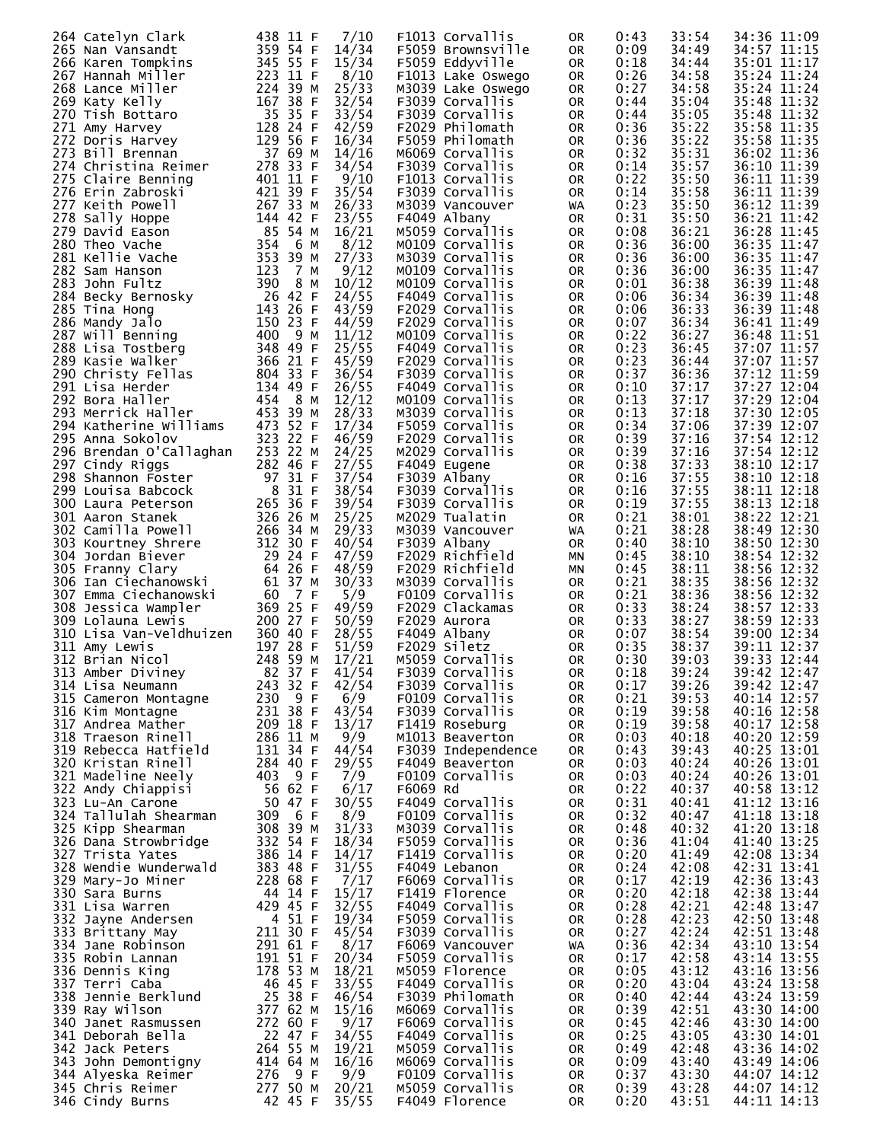| 264 Catelyn Clark                           | 438 11 F                | 7/10           | F1013 Corvallis                       | 0R        | 0:43         | 33:54          | 34:36 11:09                |
|---------------------------------------------|-------------------------|----------------|---------------------------------------|-----------|--------------|----------------|----------------------------|
| 265 Nan Vansandt<br>266 Karen Tompkins      | 359 54 F<br>345 55 F    | 14/34<br>15/34 | F5059 Brownsville<br>F5059 Eddyville  | 0R<br>0R  | 0:09<br>0:18 | 34:49<br>34:44 | 34:57 11:15<br>35:01 11:17 |
| 267 Hannah Miller                           | 223 11 F                | 8/10           | F1013 Lake Oswego                     | 0R        | 0:26         | 34:58          | 35:24 11:24                |
| 268 Lance Miller<br>269 Katy Kelly          | 224 39 M<br>167 38 F    | 25/33<br>32/54 | M3039 Lake Oswego<br>F3039 Corvallis  | 0R<br>0R  | 0:27<br>0:44 | 34:58<br>35:04 | 35:24 11:24<br>35:48 11:32 |
| 270 Tish Bottaro                            | 35 35 F                 | 33/54          | F3039 Corvallis                       | 0R        | 0:44         | 35:05          | 35:48 11:32                |
| 271 Amy Harvey<br>272 Doris Harvey          | 128 24 F<br>129 56 F    | 42/59<br>16/34 | F2029 Philomath<br>F5059 Philomath    | 0R<br>0R  | 0:36<br>0:36 | 35:22<br>35:22 | 35:58 11:35<br>35:58 11:35 |
| 273 Bill Brennan                            | 37 69 M                 | 14/16          | M6069 Corvallis                       | 0R        | 0:32         | 35:31          | 36:02 11:36                |
| 274 Christina Reimer<br>275 Claire Benning  | 278 33 F<br>401 11 F    | 34/54<br>9/10  | F3039 Corvallis<br>F1013 Corvallis    | 0R<br>0R  | 0:14<br>0:22 | 35:57<br>35:50 | 36:10 11:39<br>36:11 11:39 |
| 276 Erin Zabroski                           | 421 39 F                | 35/54          | F3039 Corvallis                       | 0R        | 0:14         | 35:58          | 36:11 11:39                |
| 277 Keith Powell<br>278 Sally Hoppe         | 267 33 M<br>144 42 F    | 26/33<br>23/55 | M3039 Vancouver<br>F4049 Albany       | WA<br>0R  | 0:23<br>0:31 | 35:50<br>35:50 | 36:12 11:39<br>36:21 11:42 |
| 279 David Eason                             | 85 54 M                 | 16/21          | M5059 Corvallis                       | 0R        | 0:08         | 36:21          | 36:28 11:45                |
| 280 Theo Vache<br>281 Kellie Vache          | 354<br>6 м<br>353 39 M  | 8/12<br>27/33  | M0109 Corvallis<br>M3039 Corvallis    | 0R<br>0R  | 0:36<br>0:36 | 36:00<br>36:00 | 36:35 11:47<br>36:35 11:47 |
| 282 Sam Hanson                              | 123<br>7 M              | 9/12           | MO109 Corvallis                       | 0R        | 0:36         | 36:00          | 36:35 11:47                |
| 283 John Fultz<br>284 Becky Bernosky        | 390<br>8 M<br>26 42 F   | 10/12<br>24/55 | MO109 Corvallis<br>F4049 Corvallis    | 0R<br>0R  | 0:01<br>0:06 | 36:38<br>36:34 | 36:39 11:48<br>36:39 11:48 |
| 285 Tina Hong                               | 143 26 F                | 43/59          | F2029 Corvallis                       | 0R        | 0:06         | 36:33          | 36:39 11:48                |
| 286 Mandy Jalo<br>287 Will Benning          | 150 23 F<br>400<br>9 M  | 44/59<br>11/12 | F2029 Corvallis<br>M0109 Corvallis    | 0R<br>0R  | 0:07<br>0:22 | 36:34<br>36:27 | 36:41 11:49<br>36:48 11:51 |
| 288 Lisa Tostberg                           | 348 49 F                | 25/55          | F4049 Corvallis                       | 0R        | 0:23         | 36:45          | 37:07 11:57                |
| 289 Kasie Walker<br>290 Christy Fellas      | 366 21 F<br>804 33 F    | 45/59<br>36/54 | F2029 Corvallis<br>F3039 Corvallis    | 0R<br>0R  | 0:23<br>0:37 | 36:44<br>36:36 | 37:07 11:57<br>37:12 11:59 |
| 291 Lisa Herder                             | 134 49 F                | 26/55          | F4049 Corvallis                       | 0R        | 0:10         | 37:17          | 37:27 12:04                |
| 292 Bora Haller<br>293 Merrick Haller       | 454<br>8 M<br>453 39 M  | 12/12<br>28/33 | MO109 Corvallis<br>M3039 Corvallis    | 0R<br>0R  | 0:13<br>0:13 | 37:17<br>37:18 | 37:29 12:04<br>37:30 12:05 |
| 294 Katherine Williams                      | 473 52 F                | 17/34          | F5059 Corvallis                       | 0R        | 0:34         | 37:06          | 37:39 12:07                |
| 295 Anna Sokolov<br>296 Brendan O'Callaghan | 323 22 F<br>253 22 M    | 46/59<br>24/25 | F2029 Corvallis<br>M2029 Corvallis    | 0R<br>0R  | 0:39<br>0:39 | 37:16<br>37:16 | 37:54 12:12<br>37:54 12:12 |
| 297 Cindy Riggs                             | 282 46 F                | 27/55          | F4049 Eugene                          | 0R        | 0:38         | 37:33          | 38:10 12:17                |
| 298 Shannon Foster<br>299 Louisa Babcock    | 97 31 F<br>8 31 F       | 37/54<br>38/54 | F3039 Albany<br>F3039 Corvallis       | 0R<br>0R  | 0:16<br>0:16 | 37:55<br>37:55 | 38:10 12:18<br>38:11 12:18 |
| 300 Laura Peterson                          | 265 36 F                | 39/54          | F3039 Corvallis                       | 0R        | 0:19         | 37:55          | 38:13 12:18                |
| 301 Aaron Stanek<br>302 Camilla Powell      | 326 26 M<br>266 34 M    | 25/25<br>29/33 | M2029 Tualatin<br>M3039 Vancouver     | 0R<br>WA. | 0:21<br>0:21 | 38:01<br>38:28 | 38:22 12:21<br>38:49 12:30 |
| 303 Kourtney Shrere                         | 312 30 F                | 40/54          | F3039 Albany                          | 0R        | 0:40         | 38:10          | 38:50 12:30                |
| 304 Jordan Biever<br>305 Franny Clary       | 29 24 F<br>64 26 F      | 47/59<br>48/59 | F2029 Richfield<br>F2029 Richfield    | МN<br>ΜN  | 0:45<br>0:45 | 38:10<br>38:11 | 38:54 12:32<br>38:56 12:32 |
| 306 Ian Ciechanowski                        | 61 37 M                 | 30/33          | M3039 Corvallis                       | 0R        | 0:21         | 38:35          | 38:56 12:32                |
| 307 Emma Ciechanowski                       | 7 F<br>- 60<br>369 25 F | 5/9<br>49/59   | F0109 Corvallis<br>F2029 Clackamas    | 0R<br>0R  | 0:21<br>0:33 | 38:36<br>38:24 | 38:56 12:32<br>38:57 12:33 |
| 308 Jessica Wampler<br>309 Lolauna Lewis    | 200 27 F                | 50/59          | F2029 Aurora                          | 0R        | 0:33         | 38:27          | 38:59 12:33                |
| 310 Lisa Van-Veldhuizen<br>311 Amy Lewis    | 360 40 F<br>197 28 F    | 28/55<br>51/59 | F4049 Albany<br>F2029 Siletz          | 0R<br>0R  | 0:07<br>0:35 | 38:54<br>38:37 | 39:00 12:34<br>39:11 12:37 |
| 312 Brian Nicol                             | 248 59 M                | 17/21          | M5059 Corvallis                       | <b>OR</b> | 0:30         | 39:03          | 39:33 12:44                |
| 313 Amber Diviney<br>314 Lisa Neumann       | 82 37 F<br>243 32 F     | 41/54<br>42/54 | F3039 Corvallis<br>F3039 Corvallis    | OR<br>0R  | 0:18<br>0:17 | 39:24<br>39:26 | 39:42 12:47<br>39:42 12:47 |
| 315 Cameron Montagne                        | 230 9 F                 | 6/9            | F0109 Corvallis                       | 0R        | 0:21         | 39:53          | 40:14 12:57                |
| 316 Kim Montagne<br>317 Andrea Mather       | 231 38 F<br>209 18 F    | 43/54<br>13/17 | F3039 Corvallis<br>F1419 Roseburg     | 0R<br>0R  | 0:19<br>0:19 | 39:58<br>39:58 | 40:16 12:58<br>40:17 12:58 |
| 318 Traeson Rinell                          | 286 11 M                | 9/9            | M1013 Beaverton                       | 0R        | 0:03         | 40:18          | 40:20 12:59                |
| 319 Rebecca Hatfield<br>320 Kristan Rinell  | 131 34 F<br>284 40 F    | 44/54<br>29/55 | F3039 Independence<br>F4049 Beaverton | 0R<br>0R  | 0:43<br>0:03 | 39:43<br>40:24 | 40:25 13:01<br>40:26 13:01 |
| 321 Madeline Neely                          | 9 F<br>403              | 7/9            | F0109 Corvallis                       | 0R        | 0:03         | 40:24          | 40:26 13:01                |
| 322 Andy Chiappisi<br>323 Lu-An Carone      | 56 62 F<br>50 47 F      | 6/17<br>30/55  | F6069 Rd<br>F4049 Corvallis           | 0R<br>0R  | 0:22<br>0:31 | 40:37<br>40:41 | 40:58 13:12<br>41:12 13:16 |
| 324 Tallulah Shearman                       | 309<br>6 F              | 8/9            | F0109 Corvallis                       | 0R        | 0:32         | 40:47          | 41:18 13:18                |
| 325 Kipp Shearman<br>326 Dana Strowbridge   | 308 39 M<br>332 54 F    | 31/33<br>18/34 | M3039 Corvallis<br>F5059 Corvallis    | 0R<br>0R  | 0:48<br>0:36 | 40:32<br>41:04 | 41:20 13:18<br>41:40 13:25 |
| 327 Trista Yates                            | 386 14 F                | 14/17          | F1419 Corvallis                       | 0R        | 0:20         | 41:49          | 42:08 13:34                |
| 328 Wendie Wunderwald<br>329 Mary-Jo Miner  | 383 48 F<br>228 68 F    | 31/55<br>7/17  | F4049 Lebanon<br>F6069 Corvallis      | 0R<br>0R  | 0:24<br>0:17 | 42:08<br>42:19 | 42:31 13:41<br>42:36 13:43 |
| 330 Sara Burns                              | 44 14 F                 | 15/17          | F1419 Florence                        | 0R        | 0:20         | 42:18          | 42:38 13:44                |
| 331 Lisa Warren<br>332 Jayne Andersen       | 429 45 F<br>4 51 F      | 32/55<br>19/34 | F4049 Corvallis<br>F5059 Corvallis    | 0R<br>0R  | 0:28<br>0:28 | 42:21<br>42:23 | 42:48 13:47<br>42:50 13:48 |
| 333 Brittany May                            | 211 30 F                | 45/54          | F3039 Corvallis                       | 0R        | 0:27         | 42:24          | 42:51 13:48                |
| 334 Jane Robinson<br>335 Robin Lannan       | 291 61 F<br>191 51 F    | 8/17<br>20/34  | F6069 Vancouver<br>F5059 Corvallis    | WA<br>0R  | 0:36<br>0:17 | 42:34<br>42:58 | 43:10 13:54<br>43:14 13:55 |
| 336 Dennis King                             | 178 53 M                | 18/21          | M5059 Florence                        | 0R        | 0:05         | 43:12          | 43:16 13:56                |
| 337 Terri Caba<br>338 Jennie Berklund       | 46 45 F<br>25 38 F      | 33/55<br>46/54 | F4049 Corvallis<br>F3039 Philomath    | 0R<br>0R  | 0:20<br>0:40 | 43:04<br>42:44 | 43:24 13:58<br>43:24 13:59 |
| 339 Ray Wilson                              | 377 62 M                | 15/16          | M6069 Corvallis                       | 0R        | 0:39         | 42:51          | 43:30 14:00                |
| 340 Janet Rasmussen<br>341 Deborah Bella    | 272 60 F<br>22 47 F     | 9/17<br>34/55  | F6069 Corvallis<br>F4049 Corvallis    | 0R<br>0R  | 0:45<br>0:25 | 42:46<br>43:05 | 43:30 14:00<br>43:30 14:01 |
| 342 Jack Peters                             | 264 55 M                | 19/21          | M5059 Corvallis                       | 0R        | 0:49         | 42:48          | 43:36 14:02                |
| 343 John Demontigny<br>344 Alyeska Reimer   | 414 64 M<br>276<br>9 F  | 16/16<br>9/9   | M6069 Corvallis<br>F0109 Corvallis    | 0R<br>0R  | 0:09<br>0:37 | 43:40<br>43:30 | 43:49 14:06<br>44:07 14:12 |
| 345 Chris Reimer                            | 277 50 M                | 20/21          | M5059 Corvallis                       | 0R        | 0:39         | 43:28          | 44:07 14:12                |
| 346 Cindy Burns                             | 42 45 F                 | 35/55          | F4049 Florence                        | 0R        | 0:20         | 43:51          | 44:11 14:13                |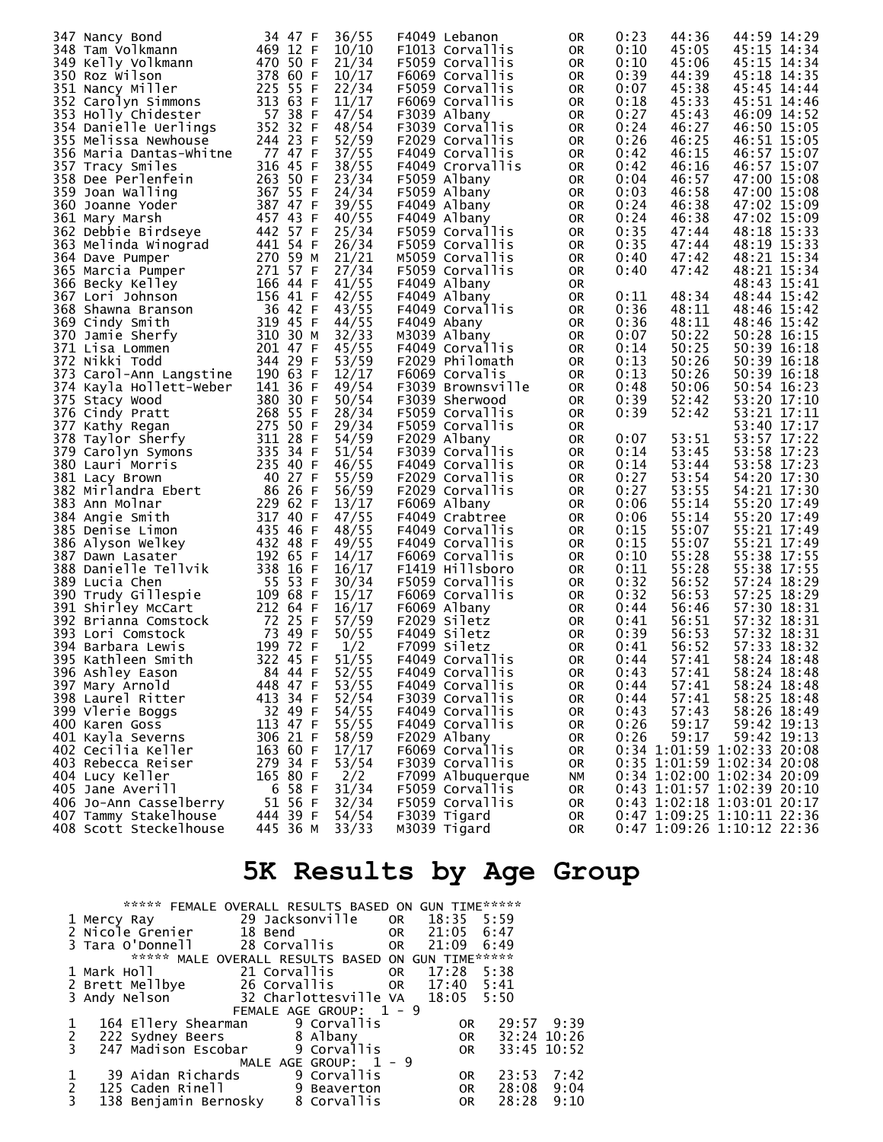|                         |               |       | F4049 Lebanon     |           |      | 44:36 |                            |
|-------------------------|---------------|-------|-------------------|-----------|------|-------|----------------------------|
| 347 Nancy Bond          | 34 47 F       | 36/55 |                   | 0R        | 0:23 |       | 44:59 14:29                |
| 348 Tam Volkmann        | 469 12 F      | 10/10 | F1013 Corvallis   | 0R        | 0:10 | 45:05 | 45:15 14:34                |
| 349 Kelly Volkmann      | 470 50 F      | 21/34 | F5059 Corvallis   | 0R        | 0:10 | 45:06 | 45:15 14:34                |
| 350 Roz Wilson          | 378 60 F      | 10/17 | F6069 Corvallis   | 0R        | 0:39 | 44:39 | 45:18 14:35                |
|                         |               |       |                   |           |      |       |                            |
| 351 Nancy Miller        | 225 55 F      | 22/34 | F5059 Corvallis   | <b>OR</b> | 0:07 | 45:38 | 45:45 14:44                |
| 352 Carolyn Simmons     | 313 63 F      | 11/17 | F6069 Corvallis   | 0R        | 0:18 | 45:33 | 45:51 14:46                |
| 353 Holly Chidester     | 57 38 F       | 47/54 | F3039 Albany      | <b>OR</b> | 0:27 | 45:43 | 46:09 14:52                |
| 354 Danielle Uerlings   | 352 32 F      | 48/54 | F3039 Corvallis   |           | 0:24 | 46:27 | 46:50 15:05                |
|                         |               |       |                   | 0R        |      |       |                            |
| 355 Melissa Newhouse    | 244 23 F      | 52/59 | F2029 Corvallis   | <b>OR</b> | 0:26 | 46:25 | 46:51 15:05                |
| 356 Maria Dantas-Whitne | 77 47 F       | 37/55 | F4049 Corvallis   | 0R        | 0:42 | 46:15 | 46:57 15:07                |
| 357 Tracy Smiles        | 316 45 F      | 38/55 | F4049 Crorvallis  | 0R        | 0:42 | 46:16 | 46:57 15:07                |
|                         |               |       |                   |           |      |       |                            |
| 358 Dee Perlenfein      | 263 50 F      | 23/34 | F5059 Albany      | 0R        | 0:04 | 46:57 | 47:00 15:08                |
| 359 Joan Walling        | 367 55 F      | 24/34 | F5059 Albany      | 0R        | 0:03 | 46:58 | 47:00 15:08                |
| 360 Joanne Yoder        | 387 47 F      | 39/55 | F4049 Albany      | 0R        | 0:24 | 46:38 | 47:02 15:09                |
| 361 Mary Marsh          | 457 43 F      | 40/55 | F4049 Albany      | 0R        | 0:24 | 46:38 | 47:02 15:09                |
|                         |               |       |                   |           |      |       |                            |
| 362 Debbie Birdseye     | 442 57 F      | 25/34 | F5059 Corvallis   | 0R        | 0:35 | 47:44 | 48:18 15:33                |
| 363 Melinda Winograd    | 441 54 F      | 26/34 | F5059 Corvallis   | <b>OR</b> | 0:35 | 47:44 | 48:19 15:33                |
| 364 Dave Pumper         | 270 59 M      | 21/21 | M5059 Corvallis   | 0R        | 0:40 | 47:42 | 48:21 15:34                |
| 365 Marcia Pumper       | 271 57 F      | 27/34 | F5059 Corvallis   | 0R        | 0:40 | 47:42 | 48:21 15:34                |
|                         |               |       |                   |           |      |       |                            |
| 366 Becky Kelley        | 166 44 F      | 41/55 | F4049 Albany      | 0R        |      |       | 48:43 15:41                |
| 367 Lori Johnson        | 156 41 F      | 42/55 | F4049 Albany      | 0R        | 0:11 | 48:34 | 48:44 15:42                |
| 368 Shawna Branson      | 36 42 F       | 43/55 | F4049 Corvallis   | 0R        | 0:36 | 48:11 | 48:46 15:42                |
| 369 Cindy Smith         | 319 45 F      | 44/55 | F4049 Abany       | <b>OR</b> | 0:36 | 48:11 | 48:46 15:42                |
|                         |               |       |                   |           |      | 50:22 |                            |
| 370 Jamie Sherfy        | 310 30 M      | 32/33 | M3039 Albany      | 0R        | 0:07 |       | 50:28 16:15                |
| 371 Lisa Lommen         | 201 47 F      | 45/55 | F4049 Corvallis   | <b>OR</b> | 0:14 | 50:25 | 50:39 16:18                |
| 372 Nikki Todd          | 344 29 F      | 53/59 | F2029 Philomath   | 0R        | 0:13 | 50:26 | 50:39 16:18                |
| 373 Carol-Ann Langstine | 190 63 F      | 12/17 | F6069 Corvalis    | <b>OR</b> | 0:13 | 50:26 | 50:39 16:18                |
| 374 Kayla Hollett-Weber | 141 36 F      | 49/54 | F3039 Brownsville | 0R        | 0:48 | 50:06 | 50:54 16:23                |
|                         |               |       |                   |           |      |       |                            |
| 375 Stacy Wood          | 380 30 F      | 50/54 | F3039 Sherwood    | <b>OR</b> | 0:39 | 52:42 | 53:20 17:10                |
| 376 Cindy Pratt         | 268 55 F      | 28/34 | F5059 Corvallis   | 0R        | 0:39 | 52:42 | 53:21 17:11                |
| 377 Kathy Regan         | 275 50 F      | 29/34 | F5059 Corvallis   | 0R        |      |       | 53:40 17:17                |
| 378 Taylor Sherfy       | 311 28 F      | 54/59 | F2029 Albany      | 0R        | 0:07 | 53:51 | 53:57 17:22                |
| 379 Carolyn Symons      | 335 34 F      | 51/54 | F3039 Corvallis   | <b>OR</b> | 0:14 | 53:45 | 53:58 17:23                |
|                         |               |       |                   |           |      |       |                            |
| 380 Lauri Morris        | 235 40 F      | 46/55 | F4049 Corvallis   | 0R        | 0:14 | 53:44 | 53:58 17:23                |
| 381 Lacy Brown          | 40 27 F       | 55/59 | F2029 Corvallis   | 0R        | 0:27 | 53:54 | 54:20 17:30                |
| 382 Mirlandra Ebert     | 86 26 F       | 56/59 | F2029 Corvallis   | 0R        | 0:27 | 53:55 | 54:21 17:30                |
| 383 Ann Molnar          | 229 62 F      | 13/17 | F6069 Albany      | <b>OR</b> | 0:06 | 55:14 | 55:20 17:49                |
| 384 Angie Smith         | 317 40 F      | 47/55 | F4049 Crabtree    | 0R        | 0:06 | 55:14 | 55:20 17:49                |
|                         |               |       |                   |           |      |       |                            |
| 385 Denise Limon        | 435 46<br>- F | 48/55 | F4049 Corvallis   | <b>OR</b> | 0:15 | 55:07 | 55:21 17:49                |
| 386 Alyson Welkey       | 432 48 F      | 49/55 | F4049 Corvallis   | 0R        | 0:15 | 55:07 | 55:21 17:49                |
| 387 Dawn Lasater        | 192 65 F      | 14/17 | F6069 Corvallis   | <b>OR</b> | 0:10 | 55:28 | 55:38 17:55                |
| 388 Danielle Tellvik    | 338 16 F      | 16/17 | F1419 Hillsboro   | 0R        | 0:11 | 55:28 | 55:38 17:55                |
| 389 Lucia Chen          | 55 53 F       | 30/34 | F5059 Corvallis   | 0R        | 0:32 | 56:52 | 57:24 18:29                |
|                         |               |       |                   |           |      |       |                            |
| 390 Trudy Gillespie     | 109 68 F      | 15/17 | F6069 Corvallis   | 0R        | 0:32 | 56:53 | 57:25 18:29                |
| 391 Shirley McCart      | 212 64 F      | 16/17 | F6069 Albany      | 0R        | 0:44 | 56:46 | 57:30 18:31                |
| 392 Brianna Comstock    | 72 25 F       | 57/59 | F2029 Siletz      | 0R        | 0:41 | 56:51 | 57:32 18:31                |
| 393 Lori Comstock       | 73 49 F       | 50/55 | F4049 Siletz      | <b>OR</b> | 0:39 | 56:53 | 57:32 18:31                |
| 394 Barbara Lewis       | 199 72 F      | 1/2   | F7099 Siletz      | 0R        | 0:41 | 56:52 | 57:33 18:32                |
|                         |               |       |                   |           |      |       |                            |
| 395 Kathleen Smith      | 322 45 F      | 51/55 | F4049 Corvallis   | <b>OR</b> | 0:44 | 57:41 | 58:24 18:48                |
| 396 Ashley Eason        | 84 44 F       | 52/55 | F4049 Corvallis   | 0R        | 0:43 | 57:41 | 58:24 18:48                |
| 397 Mary Arnold         | 448 47 F      | 53/55 | F4049 Corvallis   | 0R        | 0:44 | 57:41 | 58:24 18:48                |
| 398 Laurel Ritter       | 413 34 F      | 52/54 | F3039 Corvallis   | 0R        | 0:44 | 57:41 | 58:25 18:48                |
| 399 Vlerie Boggs        | 32 49 F       | 54/55 | F4049 Corvallis   | 0R        | 0:43 | 57:43 | 58:26 18:49                |
|                         |               |       |                   |           |      |       |                            |
| 400 Karen Goss          | 113 47 F      | 55/55 | F4049 Corvallis   | 0R        | 0:26 | 59:17 | 59:42 19:13                |
| 401 Kayla Severns       | 306 21 F      | 58/59 | F2029 Albany      | 0R        | 0:26 | 59:17 | 59:42 19:13                |
| 402 Cecilia Keller      | 163 60 F      | 17/17 | F6069 Corvallis   | 0R        |      |       | 0:34 1:01:59 1:02:33 20:08 |
| 403 Rebecca Reiser      | 279 34 F      | 53/54 | F3039 Corvallis   | 0R        |      |       | 0:35 1:01:59 1:02:34 20:08 |
| 404 Lucy Keller         | 165 80 F      | 2/2   | F7099 Albuquerque | NΜ        |      |       | 0:34 1:02:00 1:02:34 20:09 |
|                         |               | 31/34 |                   |           |      |       |                            |
| 405 Jane Averill        | 6 58 F        |       | F5059 Corvallis   | 0R        |      |       | 0:43 1:01:57 1:02:39 20:10 |
| 406 Jo-Ann Casselberry  | 51 56 F       | 32/34 | F5059 Corvallis   | 0R        |      |       | 0:43 1:02:18 1:03:01 20:17 |
| 407 Tammy Stakelhouse   | 444 39 F      | 54/54 | F3039 Tigard      | 0R        |      |       | 0:47 1:09:25 1:10:11 22:36 |
| 408 Scott Steckelhouse  | 445 36 M      | 33/33 | M3039 Tigard      | 0R        |      |       | 0:47 1:09:26 1:10:12 22:36 |

# **5K Results by Age Group**

|             |                                                                    | ***** FEMALE OVERALL RESULTS BASED ON GUN TIME****** |                      |             |      |
|-------------|--------------------------------------------------------------------|------------------------------------------------------|----------------------|-------------|------|
|             |                                                                    |                                                      |                      |             |      |
|             | 2 Nicole Grenier 18 Bend<br>3 Tara O'Donnell 28 Corvallis 0R 21:05 |                                                      |                      | 6:47        |      |
|             |                                                                    |                                                      |                      | 6:49        |      |
|             | *****                                                              | MALE OVERALL RESULTS BASED ON GUN TIME******         |                      |             |      |
|             |                                                                    |                                                      |                      |             |      |
|             | 2 Brett Mellbye 26 Corvallis 0R 17:40 5:41                         |                                                      |                      |             |      |
|             | 3 Andy Nelson                                                      | 32 Charlottesville VA 18:05 5:50                     |                      |             |      |
|             |                                                                    | FEMALE AGE GROUP: 1 - 9                              |                      |             |      |
|             | 164 Ellery Shearman                                                | 9 Corvallis                                          | OR.                  | 29:57 9:39  |      |
| 1<br>2<br>3 | 222 Sydney Beers 8 Albany                                          |                                                      | <b>Example 19 OR</b> | 32:24 10:26 |      |
|             | 247 Madison Escobar 9 Corvallis                                    |                                                      | <b>OR</b>            | 33:45 10:52 |      |
|             |                                                                    | MALE AGE GROUP: $1 - 9$                              |                      |             |      |
|             | 39 Aidan Richards                                                  | 9 Corvallis                                          | OR.                  | 23:53       | 7:42 |
| 1<br>2<br>3 | 125 Caden Rinell                                                   | 9 Beaverton                                          | OR                   | 28:08       | 9:04 |
|             | 138 Benjamin Bernosky 8 Corvallis                                  |                                                      | <b>OR</b>            | 28:28       | 9:10 |